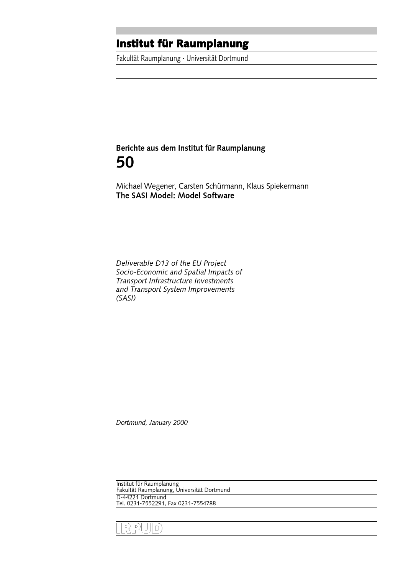THE CHURCH POLITICITUM POLITICITUM<br>Fakultät Raumplanung · Universität Dortmund

# Berichte aus dem Institut für Raumplanung 50

The SASI Model: Model Software

Deliverable D13 of the EU Project Socio-Economic and Spatial Impacts of Transport Infrastructure Investments and Transport System Improvements (SASI)

Dortmund, January 2000

Institut für Raumplanung Fakultät Raumplanung, Universität Dortmund D-44221 Dortmund Tel. 0231-7552291, Fax 0231-7554788

RPUD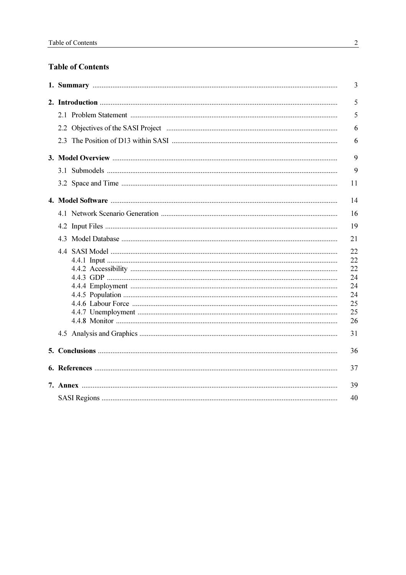# **Table of Contents**

|    | 3                                                        |  |  |  |  |
|----|----------------------------------------------------------|--|--|--|--|
|    | 5                                                        |  |  |  |  |
|    | 5                                                        |  |  |  |  |
|    | 6                                                        |  |  |  |  |
|    | 6                                                        |  |  |  |  |
|    | 9                                                        |  |  |  |  |
|    | 9                                                        |  |  |  |  |
|    | 11                                                       |  |  |  |  |
|    | 14                                                       |  |  |  |  |
|    | 16                                                       |  |  |  |  |
|    | 19                                                       |  |  |  |  |
|    | 21                                                       |  |  |  |  |
|    | 22<br>22<br>22<br>24<br>24<br>24<br>25<br>25<br>26<br>31 |  |  |  |  |
|    | 36                                                       |  |  |  |  |
|    | 37                                                       |  |  |  |  |
|    | 39                                                       |  |  |  |  |
| 40 |                                                          |  |  |  |  |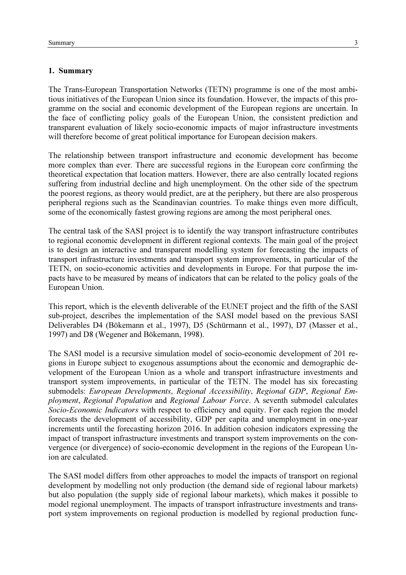## 1. Summary

The Trans-European Transportation Networks (TETN) programme is one of the most ambitious initiatives of the European Union since its foundation. However, the impacts of this programme on the social and economic development of the European regions are uncertain. In the face of conflicting policy goals of the European Union, the consistent prediction and transparent evaluation of likely socio-economic impacts of major infrastructure investments will therefore become of great political importance for European decision makers.

The relationship between transport infrastructure and economic development has become more complex than ever. There are successful regions in the European core confirming the theoretical expectation that location matters. However, there are also centrally located regions suffering from industrial decline and high unemployment. On the other side of the spectrum the poorest regions, as theory would predict, are at the periphery, but there are also prosperous peripheral regions such as the Scandinavian countries. To make things even more difficult, some of the economically fastest growing regions are among the most peripheral ones.

The central task of the SASI project is to identify the way transport infrastructure contributes to regional economic development in different regional contexts. The main goal of the project is to design an interactive and transparent modelling system for forecasting the impacts of transport infrastructure investments and transport system improvements, in particular of the TETN, on socio-economic activities and developments in Europe. For that purpose the impacts have to be measured by means of indicators that can be related to the policy goals of the European Union.

This report, which is the eleventh deliverable of the EUNET project and the fifth of the SASI sub-project, describes the implementation of the SASI model based on the previous SASI Deliverables D4 (Bökemann et al., 1997), D5 (Schürmann et al., 1997), D7 (Masser et al., 1997) and D8 (Wegener and Bökemann, 1998).

The SASI model is a recursive simulation model of socio-economic development of 201 regions in Europe subject to exogenous assumptions about the economic and demographic development of the European Union as a whole and transport infrastructure investments and transport system improvements, in particular of the TETN. The model has six forecasting submodels: European Developments, Regional Accessibility, Regional GDP, Regional Employment, Regional Population and Regional Labour Force. A seventh submodel calculates Socio-Economic Indicators with respect to efficiency and equity. For each region the model forecasts the development of accessibility, GDP per capita and unemployment in one-year increments until the forecasting horizon 2016. In addition cohesion indicators expressing the impact of transport infrastructure investments and transport system improvements on the convergence (or divergence) of socio-economic development in the regions of the European Union are calculated.

The SASI model differs from other approaches to model the impacts of transport on regional development by modelling not only production (the demand side of regional labour markets) but also population (the supply side of regional labour markets), which makes it possible to model regional unemployment. The impacts of transport infrastructure investments and transport system improvements on regional production is modelled by regional production func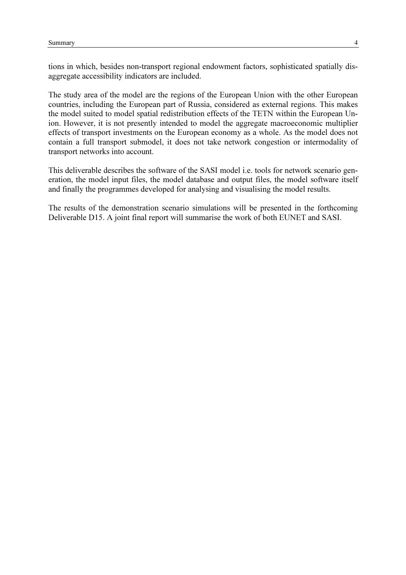tions in which, besides non-transport regional endowment factors, sophisticated spatially disaggregate accessibility indicators are included.

The study area of the model are the regions of the European Union with the other European countries, including the European part of Russia, considered as external regions. This makes the model suited to model spatial redistribution effects of the TETN within the European Union. However, it is not presently intended to model the aggregate macroeconomic multiplier effects of transport investments on the European economy as a whole. As the model does not contain a full transport submodel, it does not take network congestion or intermodality of transport networks into account.

This deliverable describes the software of the SASI model i.e. tools for network scenario generation, the model input files, the model database and output files, the model software itself and finally the programmes developed for analysing and visualising the model results.

The results of the demonstration scenario simulations will be presented in the forthcoming Deliverable D15. A joint final report will summarise the work of both EUNET and SASI.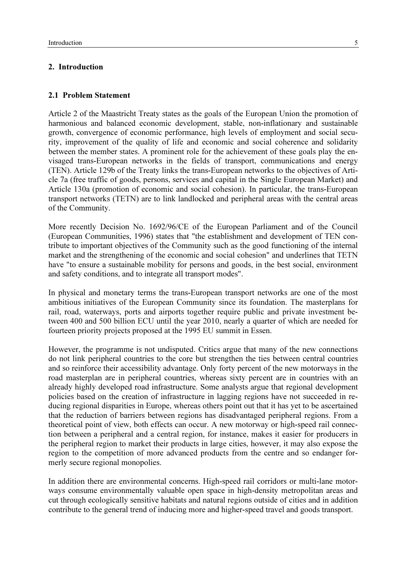#### 2. Introduction

## 2.1 Problem Statement

Article 2 of the Maastricht Treaty states as the goals of the European Union the promotion of harmonious and balanced economic development, stable, non-inflationary and sustainable growth, convergence of economic performance, high levels of employment and social security, improvement of the quality of life and economic and social coherence and solidarity between the member states. A prominent role for the achievement of these goals play the envisaged trans-European networks in the fields of transport, communications and energy (TEN). Article 129b of the Treaty links the trans-European networks to the objectives of Article 7a (free traffic of goods, persons, services and capital in the Single European Market) and Article 130a (promotion of economic and social cohesion). In particular, the trans-European transport networks (TETN) are to link landlocked and peripheral areas with the central areas of the Community.

More recently Decision No. 1692/96/CE of the European Parliament and of the Council (European Communities, 1996) states that "the establishment and development of TEN contribute to important objectives of the Community such as the good functioning of the internal market and the strengthening of the economic and social cohesion" and underlines that TETN have "to ensure a sustainable mobility for persons and goods, in the best social, environment and safety conditions, and to integrate all transport modes".

In physical and monetary terms the trans-European transport networks are one of the most ambitious initiatives of the European Community since its foundation. The masterplans for rail, road, waterways, ports and airports together require public and private investment between 400 and 500 billion ECU until the year 2010, nearly a quarter of which are needed for fourteen priority projects proposed at the 1995 EU summit in Essen.

However, the programme is not undisputed. Critics argue that many of the new connections do not link peripheral countries to the core but strengthen the ties between central countries and so reinforce their accessibility advantage. Only forty percent of the new motorways in the road masterplan are in peripheral countries, whereas sixty percent are in countries with an already highly developed road infrastructure. Some analysts argue that regional development policies based on the creation of infrastructure in lagging regions have not succeeded in reducing regional disparities in Europe, whereas others point out that it has yet to be ascertained that the reduction of barriers between regions has disadvantaged peripheral regions. From a theoretical point of view, both effects can occur. A new motorway or high-speed rail connection between a peripheral and a central region, for instance, makes it easier for producers in the peripheral region to market their products in large cities, however, it may also expose the region to the competition of more advanced products from the centre and so endanger formerly secure regional monopolies.

In addition there are environmental concerns. High-speed rail corridors or multi-lane motorways consume environmentally valuable open space in high-density metropolitan areas and cut through ecologically sensitive habitats and natural regions outside of cities and in addition contribute to the general trend of inducing more and higher-speed travel and goods transport.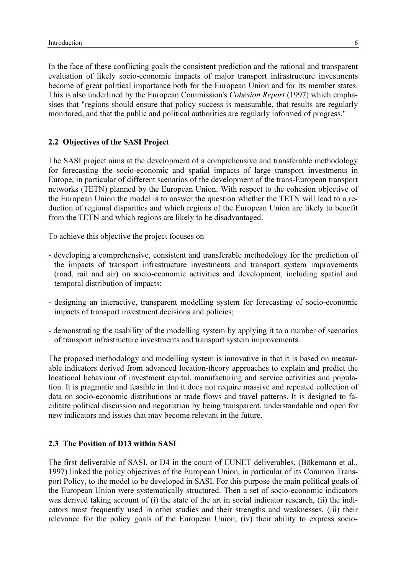In the face of these conflicting goals the consistent prediction and the rational and transparent evaluation of likely socio-economic impacts of major transport infrastructure investments become of great political importance both for the European Union and for its member states. This is also underlined by the European Commission's Cohesion Report (1997) which emphasises that "regions should ensure that policy success is measurable, that results are regularly monitored, and that the public and political authorities are regularly informed of progress."

## 2.2 Objectives of the SASI Project

The SASI project aims at the development of a comprehensive and transferable methodology for forecasting the socio-economic and spatial impacts of large transport investments in Europe, in particular of different scenarios of the development of the trans-European transport networks (TETN) planned by the European Union. With respect to the cohesion objective of the European Union the model is to answer the question whether the TETN will lead to a reduction of regional disparities and which regions of the European Union are likely to benefit from the TETN and which regions are likely to be disadvantaged.

To achieve this objective the project focuses on

- developing a comprehensive, consistent and transferable methodology for the prediction of the impacts of transport infrastructure investments and transport system improvements (road, rail and air) on socio-economic activities and development, including spatial and temporal distribution of impacts;
- designing an interactive, transparent modelling system for forecasting of socio-economic impacts of transport investment decisions and policies;
- demonstrating the usability of the modelling system by applying it to a number of scenarios of transport infrastructure investments and transport system improvements.

The proposed methodology and modelling system is innovative in that it is based on measurable indicators derived from advanced location-theory approaches to explain and predict the locational behaviour of investment capital, manufacturing and service activities and population. It is pragmatic and feasible in that it does not require massive and repeated collection of data on socio-economic distributions or trade flows and travel patterns. It is designed to facilitate political discussion and negotiation by being transparent, understandable and open for new indicators and issues that may become relevant in the future.

#### 2.3 The Position of D13 within SASI

The first deliverable of SASI, or D4 in the count of EUNET deliverables, (Bökemann et al., 1997) linked the policy objectives of the European Union, in particular of its Common Transport Policy, to the model to be developed in SASI. For this purpose the main political goals of the European Union were systematically structured. Then a set of socio-economic indicators was derived taking account of (i) the state of the art in social indicator research, (ii) the indicators most frequently used in other studies and their strengths and weaknesses, (iii) their relevance for the policy goals of the European Union, (iv) their ability to express socio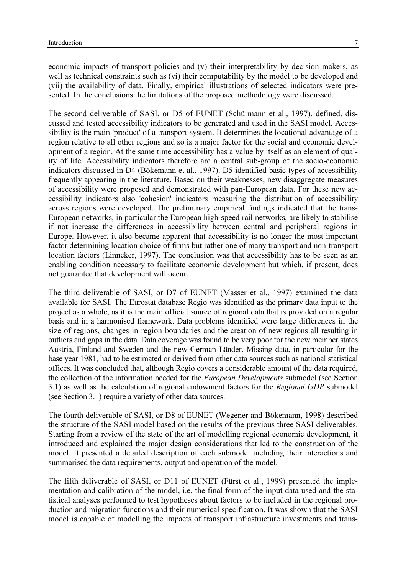economic impacts of transport policies and (v) their interpretability by decision makers, as well as technical constraints such as (vi) their computability by the model to be developed and (vii) the availability of data. Finally, empirical illustrations of selected indicators were presented. In the conclusions the limitations of the proposed methodology were discussed.

The second deliverable of SASI, or D5 of EUNET (Schürmann et al., 1997), defined, discussed and tested accessibility indicators to be generated and used in the SASI model. Accessibility is the main 'product' of a transport system. It determines the locational advantage of a region relative to all other regions and so is a major factor for the social and economic development of a region. At the same time accessibility has a value by itself as an element of quality of life. Accessibility indicators therefore are a central sub-group of the socio-economic indicators discussed in D4 (Bökemann et al., 1997). D5 identified basic types of accessibility frequently appearing in the literature. Based on their weaknesses, new disaggregate measures of accessibility were proposed and demonstrated with pan-European data. For these new accessibility indicators also 'cohesion' indicators measuring the distribution of accessibility across regions were developed. The preliminary empirical findings indicated that the trans-European networks, in particular the European high-speed rail networks, are likely to stabilise if not increase the differences in accessibility between central and peripheral regions in Europe. However, it also became apparent that accessibility is no longer the most important factor determining location choice of firms but rather one of many transport and non-transport location factors (Linneker, 1997). The conclusion was that accessibility has to be seen as an enabling condition necessary to facilitate economic development but which, if present, does not guarantee that development will occur.

The third deliverable of SASI, or D7 of EUNET (Masser et al., 1997) examined the data available for SASI. The Eurostat database Regio was identified as the primary data input to the project as a whole, as it is the main official source of regional data that is provided on a regular basis and in a harmonised framework. Data problems identified were large differences in the size of regions, changes in region boundaries and the creation of new regions all resulting in outliers and gaps in the data. Data coverage was found to be very poor for the new member states Austria, Finland and Sweden and the new German Länder. Missing data, in particular for the base year 1981, had to be estimated or derived from other data sources such as national statistical offices. It was concluded that, although Regio covers a considerable amount of the data required, the collection of the information needed for the *European Developments* submodel (see Section 3.1) as well as the calculation of regional endowment factors for the Regional GDP submodel (see Section 3.1) require a variety of other data sources.

The fourth deliverable of SASI, or D8 of EUNET (Wegener and Bökemann, 1998) described the structure of the SASI model based on the results of the previous three SASI deliverables. Starting from a review of the state of the art of modelling regional economic development, it introduced and explained the major design considerations that led to the construction of the model. It presented a detailed description of each submodel including their interactions and summarised the data requirements, output and operation of the model.

The fifth deliverable of SASI, or D11 of EUNET (Fürst et al., 1999) presented the implementation and calibration of the model, i.e. the final form of the input data used and the statistical analyses performed to test hypotheses about factors to be included in the regional production and migration functions and their numerical specification. It was shown that the SASI model is capable of modelling the impacts of transport infrastructure investments and trans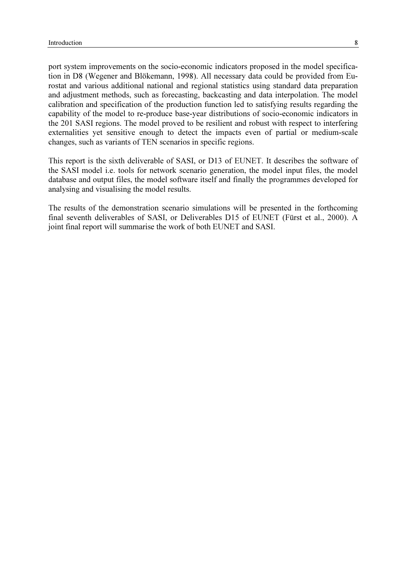port system improvements on the socio-economic indicators proposed in the model specification in D8 (Wegener and Blökemann, 1998). All necessary data could be provided from Eurostat and various additional national and regional statistics using standard data preparation and adjustment methods, such as forecasting, backcasting and data interpolation. The model calibration and specification of the production function led to satisfying results regarding the capability of the model to re-produce base-year distributions of socio-economic indicators in the 201 SASI regions. The model proved to be resilient and robust with respect to interfering externalities yet sensitive enough to detect the impacts even of partial or medium-scale changes, such as variants of TEN scenarios in specific regions.

This report is the sixth deliverable of SASI, or D13 of EUNET. It describes the software of the SASI model i.e. tools for network scenario generation, the model input files, the model database and output files, the model software itself and finally the programmes developed for analysing and visualising the model results.

The results of the demonstration scenario simulations will be presented in the forthcoming final seventh deliverables of SASI, or Deliverables D15 of EUNET (Fürst et al., 2000). A joint final report will summarise the work of both EUNET and SASI.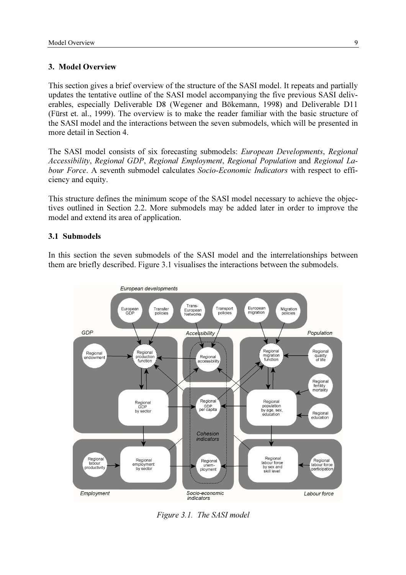#### 3. Model Overview

This section gives a brief overview of the structure of the SASI model. It repeats and partially updates the tentative outline of the SASI model accompanying the five previous SASI deliverables, especially Deliverable D8 (Wegener and Bökemann, 1998) and Deliverable D11 (Fürst et. al., 1999). The overview is to make the reader familiar with the basic structure of the SASI model and the interactions between the seven submodels, which will be presented in more detail in Section 4.

The SASI model consists of six forecasting submodels: European Developments, Regional Accessibility, Regional GDP, Regional Employment, Regional Population and Regional Labour Force. A seventh submodel calculates Socio-Economic Indicators with respect to efficiency and equity.

This structure defines the minimum scope of the SASI model necessary to achieve the objectives outlined in Section 2.2. More submodels may be added later in order to improve the model and extend its area of application.

# 3.1 Submodels

In this section the seven submodels of the SASI model and the interrelationships between them are briefly described. Figure 3.1 visualises the interactions between the submodels.



Figure 3.1. The SASI model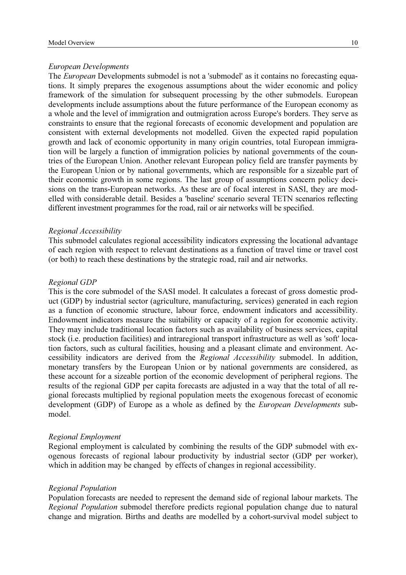#### European Developments

The European Developments submodel is not a 'submodel' as it contains no forecasting equations. It simply prepares the exogenous assumptions about the wider economic and policy framework of the simulation for subsequent processing by the other submodels. European developments include assumptions about the future performance of the European economy as a whole and the level of immigration and outmigration across Europe's borders. They serve as constraints to ensure that the regional forecasts of economic development and population are consistent with external developments not modelled. Given the expected rapid population growth and lack of economic opportunity in many origin countries, total European immigration will be largely a function of immigration policies by national governments of the countries of the European Union. Another relevant European policy field are transfer payments by the European Union or by national governments, which are responsible for a sizeable part of their economic growth in some regions. The last group of assumptions concern policy decisions on the trans-European networks. As these are of focal interest in SASI, they are modelled with considerable detail. Besides a 'baseline' scenario several TETN scenarios reflecting different investment programmes for the road, rail or air networks will be specified.

#### Regional Accessibility

This submodel calculates regional accessibility indicators expressing the locational advantage of each region with respect to relevant destinations as a function of travel time or travel cost (or both) to reach these destinations by the strategic road, rail and air networks.

#### Regional GDP

This is the core submodel of the SASI model. It calculates a forecast of gross domestic product (GDP) by industrial sector (agriculture, manufacturing, services) generated in each region as a function of economic structure, labour force, endowment indicators and accessibility. Endowment indicators measure the suitability or capacity of a region for economic activity. They may include traditional location factors such as availability of business services, capital stock (i.e. production facilities) and intraregional transport infrastructure as well as 'soft' location factors, such as cultural facilities, housing and a pleasant climate and environment. Accessibility indicators are derived from the Regional Accessibility submodel. In addition, monetary transfers by the European Union or by national governments are considered, as these account for a sizeable portion of the economic development of peripheral regions. The results of the regional GDP per capita forecasts are adjusted in a way that the total of all regional forecasts multiplied by regional population meets the exogenous forecast of economic development (GDP) of Europe as a whole as defined by the *European Developments* submodel.

#### Regional Employment

Regional employment is calculated by combining the results of the GDP submodel with exogenous forecasts of regional labour productivity by industrial sector (GDP per worker), which in addition may be changed by effects of changes in regional accessibility.

#### Regional Population

Population forecasts are needed to represent the demand side of regional labour markets. The Regional Population submodel therefore predicts regional population change due to natural change and migration. Births and deaths are modelled by a cohort-survival model subject to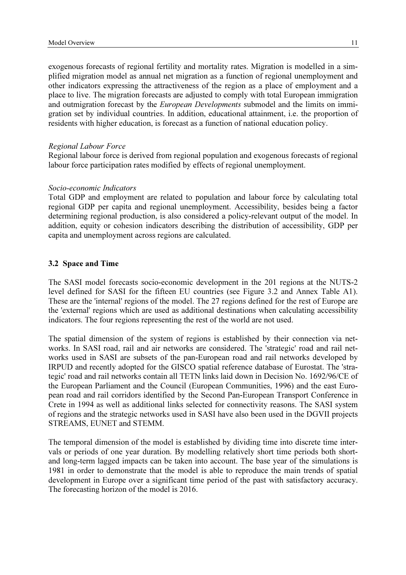exogenous forecasts of regional fertility and mortality rates. Migration is modelled in a simplified migration model as annual net migration as a function of regional unemployment and other indicators expressing the attractiveness of the region as a place of employment and a place to live. The migration forecasts are adjusted to comply with total European immigration and outmigration forecast by the European Developments submodel and the limits on immigration set by individual countries. In addition, educational attainment, i.e. the proportion of residents with higher education, is forecast as a function of national education policy.

#### Regional Labour Force

Regional labour force is derived from regional population and exogenous forecasts of regional labour force participation rates modified by effects of regional unemployment.

#### Socio-economic Indicators

Total GDP and employment are related to population and labour force by calculating total regional GDP per capita and regional unemployment. Accessibility, besides being a factor determining regional production, is also considered a policy-relevant output of the model. In addition, equity or cohesion indicators describing the distribution of accessibility, GDP per capita and unemployment across regions are calculated.

#### 3.2 Space and Time

The SASI model forecasts socio-economic development in the 201 regions at the NUTS-2 level defined for SASI for the fifteen EU countries (see Figure 3.2 and Annex Table A1). These are the 'internal' regions of the model. The 27 regions defined for the rest of Europe are the 'external' regions which are used as additional destinations when calculating accessibility indicators. The four regions representing the rest of the world are not used.

The spatial dimension of the system of regions is established by their connection via networks. In SASI road, rail and air networks are considered. The 'strategic' road and rail networks used in SASI are subsets of the pan-European road and rail networks developed by IRPUD and recently adopted for the GISCO spatial reference database of Eurostat. The 'strategic' road and rail networks contain all TETN links laid down in Decision No. 1692/96/CE of the European Parliament and the Council (European Communities, 1996) and the east European road and rail corridors identified by the Second Pan-European Transport Conference in Crete in 1994 as well as additional links selected for connectivity reasons. The SASI system of regions and the strategic networks used in SASI have also been used in the DGVII projects STREAMS, EUNET and STEMM.

The temporal dimension of the model is established by dividing time into discrete time intervals or periods of one year duration. By modelling relatively short time periods both shortand long-term lagged impacts can be taken into account. The base year of the simulations is 1981 in order to demonstrate that the model is able to reproduce the main trends of spatial development in Europe over a significant time period of the past with satisfactory accuracy. The forecasting horizon of the model is 2016.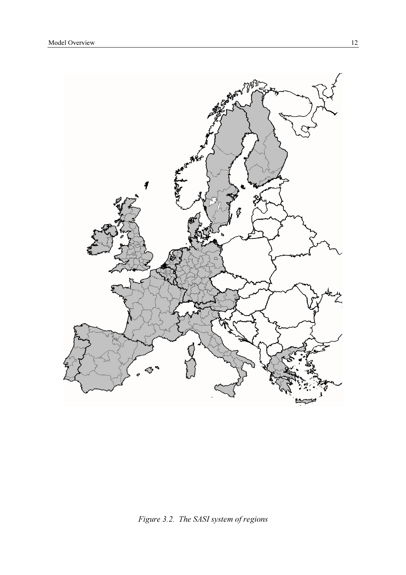

Figure 3.2. The SASI system of regions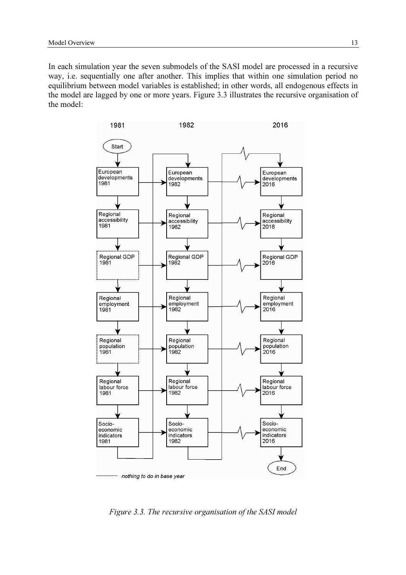In each simulation year the seven submodels of the SASI model are processed in a recursive way, i.e. sequentially one after another. This implies that within one simulation period no equilibrium between model variables is established; in other words, all endogenous effects in the model are lagged by one or more years. Figure 3.3 illustrates the recursive organisation of the model:



Figure 3.3. The recursive organisation of the SASI model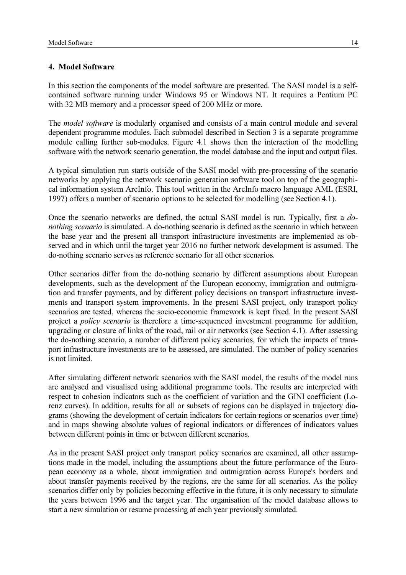#### 4. Model Software

In this section the components of the model software are presented. The SASI model is a selfcontained software running under Windows 95 or Windows NT. It requires a Pentium PC with 32 MB memory and a processor speed of 200 MHz or more.

The *model software* is modularly organised and consists of a main control module and several dependent programme modules. Each submodel described in Section 3 is a separate programme module calling further sub-modules. Figure 4.1 shows then the interaction of the modelling software with the network scenario generation, the model database and the input and output files.

A typical simulation run starts outside of the SASI model with pre-processing of the scenario networks by applying the network scenario generation software tool on top of the geographical information system ArcInfo. This tool written in the ArcInfo macro language AML (ESRI, 1997) offers a number of scenario options to be selected for modelling (see Section 4.1).

Once the scenario networks are defined, the actual SASI model is run. Typically, first a donothing scenario is simulated. A do-nothing scenario is defined as the scenario in which between the base year and the present all transport infrastructure investments are implemented as observed and in which until the target year 2016 no further network development is assumed. The do-nothing scenario serves as reference scenario for all other scenarios.

Other scenarios differ from the do-nothing scenario by different assumptions about European developments, such as the development of the European economy, immigration and outmigration and transfer payments, and by different policy decisions on transport infrastructure investments and transport system improvements. In the present SASI project, only transport policy scenarios are tested, whereas the socio-economic framework is kept fixed. In the present SASI project a policy scenario is therefore a time-sequenced investment programme for addition, upgrading or closure of links of the road, rail or air networks (see Section 4.1). After assessing the do-nothing scenario, a number of different policy scenarios, for which the impacts of transport infrastructure investments are to be assessed, are simulated. The number of policy scenarios is not limited.

After simulating different network scenarios with the SASI model, the results of the model runs are analysed and visualised using additional programme tools. The results are interpreted with respect to cohesion indicators such as the coefficient of variation and the GINI coefficient (Lorenz curves). In addition, results for all or subsets of regions can be displayed in trajectory diagrams (showing the development of certain indicators for certain regions or scenarios over time) and in maps showing absolute values of regional indicators or differences of indicators values between different points in time or between different scenarios.

As in the present SASI project only transport policy scenarios are examined, all other assumptions made in the model, including the assumptions about the future performance of the European economy as a whole, about immigration and outmigration across Europe's borders and about transfer payments received by the regions, are the same for all scenarios. As the policy scenarios differ only by policies becoming effective in the future, it is only necessary to simulate the years between 1996 and the target year. The organisation of the model database allows to start a new simulation or resume processing at each year previously simulated.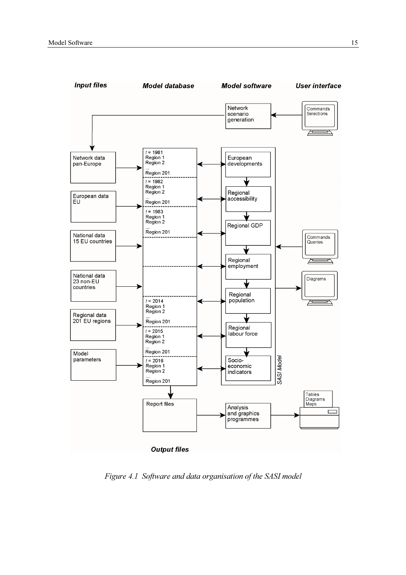

Figure 4.1 Software and data organisation of the SASI model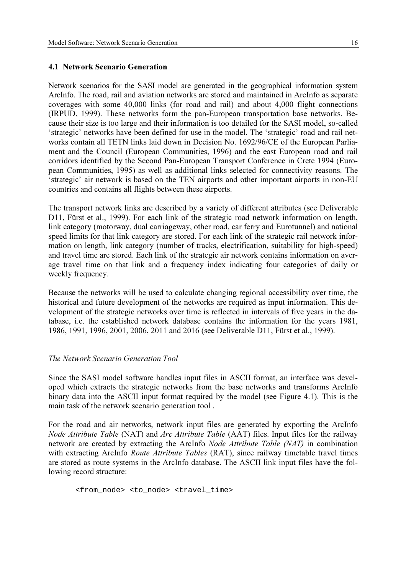#### 4.1 Network Scenario Generation

Network scenarios for the SASI model are generated in the geographical information system ArcInfo. The road, rail and aviation networks are stored and maintained in ArcInfo as separate coverages with some 40,000 links (for road and rail) and about 4,000 flight connections (IRPUD, 1999). These networks form the pan-European transportation base networks. Because their size is too large and their information is too detailed for the SASI model, so-called 'strategic' networks have been defined for use in the model. The 'strategic' road and rail networks contain all TETN links laid down in Decision No. 1692/96/CE of the European Parliament and the Council (European Communities, 1996) and the east European road and rail corridors identified by the Second Pan-European Transport Conference in Crete 1994 (European Communities, 1995) as well as additional links selected for connectivity reasons. The 'strategic' air network is based on the TEN airports and other important airports in non-EU countries and contains all flights between these airports.

The transport network links are described by a variety of different attributes (see Deliverable D11, Fürst et al., 1999). For each link of the strategic road network information on length, link category (motorway, dual carriageway, other road, car ferry and Eurotunnel) and national speed limits for that link category are stored. For each link of the strategic rail network information on length, link category (number of tracks, electrification, suitability for high-speed) and travel time are stored. Each link of the strategic air network contains information on average travel time on that link and a frequency index indicating four categories of daily or weekly frequency.

Because the networks will be used to calculate changing regional accessibility over time, the historical and future development of the networks are required as input information. This development of the strategic networks over time is reflected in intervals of five years in the database, i.e. the established network database contains the information for the years 1981, 1986, 1991, 1996, 2001, 2006, 2011 and 2016 (see Deliverable D11, Fürst et al., 1999).

#### The Network Scenario Generation Tool

Since the SASI model software handles input files in ASCII format, an interface was developed which extracts the strategic networks from the base networks and transforms ArcInfo binary data into the ASCII input format required by the model (see Figure 4.1). This is the main task of the network scenario generation tool .

For the road and air networks, network input files are generated by exporting the ArcInfo Node Attribute Table (NAT) and Arc Attribute Table (AAT) files. Input files for the railway network are created by extracting the ArcInfo Node Attribute Table (NAT) in combination with extracting ArcInfo Route Attribute Tables (RAT), since railway timetable travel times are stored as route systems in the ArcInfo database. The ASCII link input files have the following record structure:

<from\_node> <to\_node> <travel\_time>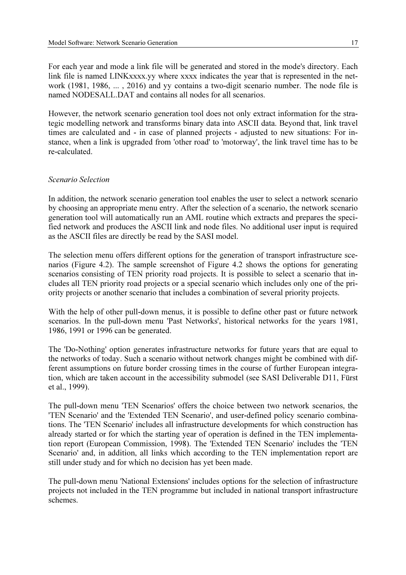For each year and mode a link file will be generated and stored in the mode's directory. Each link file is named LINKxxxx.yy where xxxx indicates the year that is represented in the network (1981, 1986, ... , 2016) and yy contains a two-digit scenario number. The node file is named NODESALL.DAT and contains all nodes for all scenarios.

However, the network scenario generation tool does not only extract information for the strategic modelling network and transforms binary data into ASCII data. Beyond that, link travel times are calculated and - in case of planned projects - adjusted to new situations: For instance, when a link is upgraded from 'other road' to 'motorway', the link travel time has to be re-calculated.

#### Scenario Selection

In addition, the network scenario generation tool enables the user to select a network scenario by choosing an appropriate menu entry. After the selection of a scenario, the network scenario generation tool will automatically run an AML routine which extracts and prepares the specified network and produces the ASCII link and node files. No additional user input is required as the ASCII files are directly be read by the SASI model.

The selection menu offers different options for the generation of transport infrastructure scenarios (Figure 4.2). The sample screenshot of Figure 4.2 shows the options for generating scenarios consisting of TEN priority road projects. It is possible to select a scenario that includes all TEN priority road projects or a special scenario which includes only one of the priority projects or another scenario that includes a combination of several priority projects.

With the help of other pull-down menus, it is possible to define other past or future network scenarios. In the pull-down menu 'Past Networks', historical networks for the years 1981, 1986, 1991 or 1996 can be generated.

The 'Do-Nothing' option generates infrastructure networks for future years that are equal to the networks of today. Such a scenario without network changes might be combined with different assumptions on future border crossing times in the course of further European integration, which are taken account in the accessibility submodel (see SASI Deliverable D11, Fürst et al., 1999).

The pull-down menu 'TEN Scenarios' offers the choice between two network scenarios, the 'TEN Scenario' and the 'Extended TEN Scenario', and user-defined policy scenario combinations. The 'TEN Scenario' includes all infrastructure developments for which construction has already started or for which the starting year of operation is defined in the TEN implementation report (European Commission, 1998). The 'Extended TEN Scenario' includes the 'TEN Scenario' and, in addition, all links which according to the TEN implementation report are still under study and for which no decision has yet been made.

The pull-down menu 'National Extensions' includes options for the selection of infrastructure projects not included in the TEN programme but included in national transport infrastructure schemes.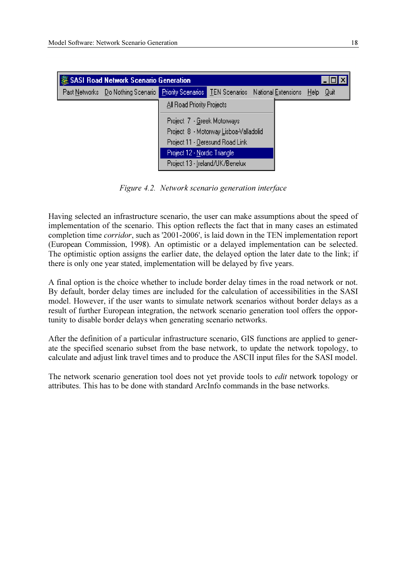| SASI Road Network Scenario Generation |                                                                                             |                                 |                                        |  |  |  | L∐∐∣X |
|---------------------------------------|---------------------------------------------------------------------------------------------|---------------------------------|----------------------------------------|--|--|--|-------|
|                                       | Past Networks Do Nothing Scenario Priority Scenarios TEN Scenarios National Extensions Help |                                 |                                        |  |  |  | Quit  |
| All Road Priority Projects            |                                                                                             |                                 |                                        |  |  |  |       |
|                                       |                                                                                             | Project 7 - Greek Motorways     |                                        |  |  |  |       |
|                                       |                                                                                             |                                 | Project 8 - Motorway Lisboa-Valladolid |  |  |  |       |
|                                       |                                                                                             | Project 11 - Deresund Road Link |                                        |  |  |  |       |
|                                       |                                                                                             | Project 12 - Nordic Triangle    |                                        |  |  |  |       |
|                                       |                                                                                             | Project 13 - Ireland/UK/Benelux |                                        |  |  |  |       |

Figure 4.2. Network scenario generation interface

Having selected an infrastructure scenario, the user can make assumptions about the speed of implementation of the scenario. This option reflects the fact that in many cases an estimated completion time corridor, such as '2001-2006', is laid down in the TEN implementation report (European Commission, 1998). An optimistic or a delayed implementation can be selected. The optimistic option assigns the earlier date, the delayed option the later date to the link; if there is only one year stated, implementation will be delayed by five years.

A final option is the choice whether to include border delay times in the road network or not. By default, border delay times are included for the calculation of accessibilities in the SASI model. However, if the user wants to simulate network scenarios without border delays as a result of further European integration, the network scenario generation tool offers the opportunity to disable border delays when generating scenario networks.

After the definition of a particular infrastructure scenario, GIS functions are applied to generate the specified scenario subset from the base network, to update the network topology, to calculate and adjust link travel times and to produce the ASCII input files for the SASI model.

The network scenario generation tool does not yet provide tools to *edit* network topology or attributes. This has to be done with standard ArcInfo commands in the base networks.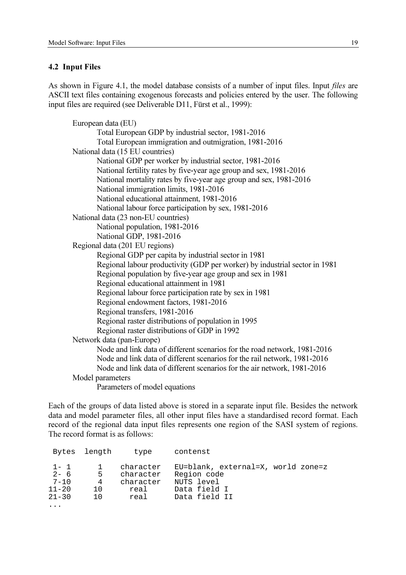#### 4.2 Input Files

As shown in Figure 4.1, the model database consists of a number of input files. Input *files* are ASCII text files containing exogenous forecasts and policies entered by the user. The following input files are required (see Deliverable D11, Fürst et al., 1999):

```
European data (EU)
       Total European GDP by industrial sector, 1981-2016
       Total European immigration and outmigration, 1981-2016
National data (15 EU countries)
       National GDP per worker by industrial sector, 1981-2016
       National fertility rates by five-year age group and sex, 1981-2016
       National mortality rates by five-year age group and sex, 1981-2016
       National immigration limits, 1981-2016
       National educational attainment, 1981-2016
       National labour force participation by sex, 1981-2016
National data (23 non-EU countries)
       National population, 1981-2016
       National GDP, 1981-2016
Regional data (201 EU regions)
       Regional GDP per capita by industrial sector in 1981
       Regional labour productivity (GDP per worker) by industrial sector in 1981
       Regional population by five-year age group and sex in 1981
       Regional educational attainment in 1981
       Regional labour force participation rate by sex in 1981
       Regional endowment factors, 1981-2016
       Regional transfers, 1981-2016
       Regional raster distributions of population in 1995
       Regional raster distributions of GDP in 1992
Network data (pan-Europe)
       Node and link data of different scenarios for the road network, 1981-2016
       Node and link data of different scenarios for the rail network, 1981-2016
       Node and link data of different scenarios for the air network, 1981-2016
Model parameters
       Parameters of model equations
```
Each of the groups of data listed above is stored in a separate input file. Besides the network data and model parameter files, all other input files have a standardised record format. Each record of the regional data input files represents one region of the SASI system of regions. The record format is as follows:

|                                                          | Bytes length                     | type                                                | contenst                                                                                         |
|----------------------------------------------------------|----------------------------------|-----------------------------------------------------|--------------------------------------------------------------------------------------------------|
| $1 - 1$<br>$2 - 6$<br>$7 - 10$<br>$11 - 20$<br>$21 - 30$ | 5 <sup>5</sup><br>4<br>1 O<br>10 | character<br>character<br>character<br>real<br>real | EU=blank, external=X, world zone=z<br>Region code<br>NUTS level<br>Data field I<br>Data field II |
| $\cdots$                                                 |                                  |                                                     |                                                                                                  |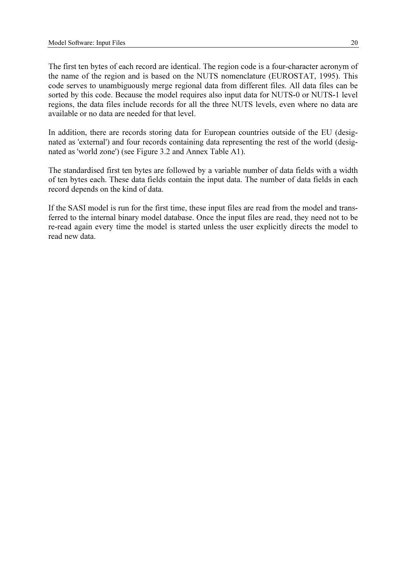The first ten bytes of each record are identical. The region code is a four-character acronym of the name of the region and is based on the NUTS nomenclature (EUROSTAT, 1995). This code serves to unambiguously merge regional data from different files. All data files can be sorted by this code. Because the model requires also input data for NUTS-0 or NUTS-1 level regions, the data files include records for all the three NUTS levels, even where no data are available or no data are needed for that level.

In addition, there are records storing data for European countries outside of the EU (designated as 'external') and four records containing data representing the rest of the world (designated as 'world zone') (see Figure 3.2 and Annex Table A1).

The standardised first ten bytes are followed by a variable number of data fields with a width of ten bytes each. These data fields contain the input data. The number of data fields in each record depends on the kind of data.

If the SASI model is run for the first time, these input files are read from the model and transferred to the internal binary model database. Once the input files are read, they need not to be re-read again every time the model is started unless the user explicitly directs the model to read new data.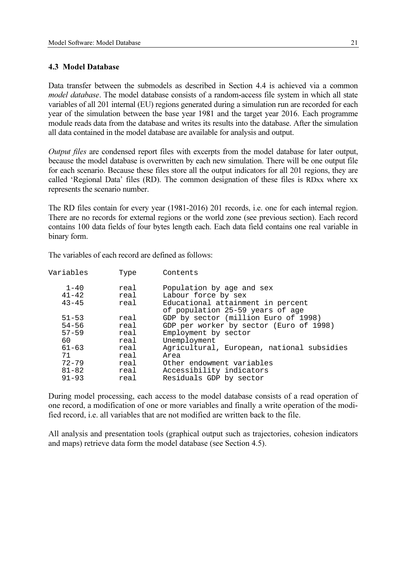## 4.3 Model Database

Data transfer between the submodels as described in Section 4.4 is achieved via a common model database. The model database consists of a random-access file system in which all state variables of all 201 internal (EU) regions generated during a simulation run are recorded for each year of the simulation between the base year 1981 and the target year 2016. Each programme module reads data from the database and writes its results into the database. After the simulation all data contained in the model database are available for analysis and output.

Output files are condensed report files with excerpts from the model database for later output, because the model database is overwritten by each new simulation. There will be one output file for each scenario. Because these files store all the output indicators for all 201 regions, they are called 'Regional Data' files (RD). The common designation of these files is RDxx where xx represents the scenario number.

The RD files contain for every year (1981-2016) 201 records, i.e. one for each internal region. There are no records for external regions or the world zone (see previous section). Each record contains 100 data fields of four bytes length each. Each data field contains one real variable in binary form.

The variables of each record are defined as follows:

| Variables | Type | Contents                                   |
|-----------|------|--------------------------------------------|
| $1 - 40$  | real | Population by age and sex                  |
| $41 - 42$ | real | Labour force by sex                        |
| $43 - 45$ | real | Educational attainment in percent          |
|           |      | of population 25-59 years of age           |
| $51 - 53$ | real | GDP by sector (million Euro of 1998)       |
| $54 - 56$ | real | GDP per worker by sector (Euro of 1998)    |
| $57 - 59$ | real | Employment by sector                       |
| 60        | real | Unemployment                               |
| $61 - 63$ | real | Agricultural, European, national subsidies |
| 71        | real | Area                                       |
| $72 - 79$ | real | Other endowment variables                  |
| $81 - 82$ | real | Accessibility indicators                   |
| $91 - 93$ | real | Residuals GDP by sector                    |
|           |      |                                            |

During model processing, each access to the model database consists of a read operation of one record, a modification of one or more variables and finally a write operation of the modified record, i.e. all variables that are not modified are written back to the file.

All analysis and presentation tools (graphical output such as trajectories, cohesion indicators and maps) retrieve data form the model database (see Section 4.5).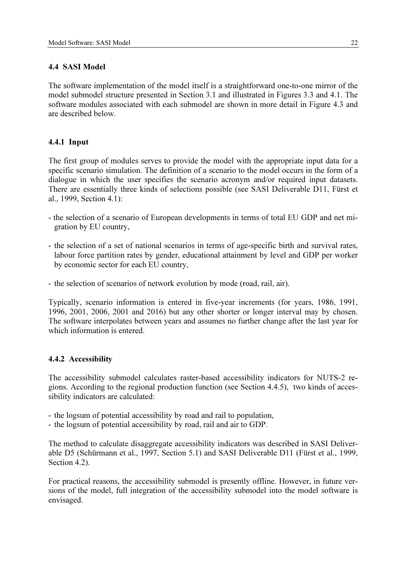# 4.4 SASI Model

The software implementation of the model itself is a straightforward one-to-one mirror of the model submodel structure presented in Section 3.1 and illustrated in Figures 3.3 and 4.1. The software modules associated with each submodel are shown in more detail in Figure 4.3 and are described below.

# 4.4.1 Input

The first group of modules serves to provide the model with the appropriate input data for a specific scenario simulation. The definition of a scenario to the model occurs in the form of a dialogue in which the user specifies the scenario acronym and/or required input datasets. There are essentially three kinds of selections possible (see SASI Deliverable D11, Fürst et al., 1999, Section 4.1):

- the selection of a scenario of European developments in terms of total EU GDP and net migration by EU country,
- the selection of a set of national scenarios in terms of age-specific birth and survival rates, labour force partition rates by gender, educational attainment by level and GDP per worker by economic sector for each EU country,
- the selection of scenarios of network evolution by mode (road, rail, air).

Typically, scenario information is entered in five-year increments (for years, 1986, 1991, 1996, 2001, 2006, 2001 and 2016) but any other shorter or longer interval may by chosen. The software interpolates between years and assumes no further change after the last year for which information is entered.

# 4.4.2 Accessibility

The accessibility submodel calculates raster-based accessibility indicators for NUTS-2 regions. According to the regional production function (see Section 4.4.5), two kinds of accessibility indicators are calculated:

- the logsum of potential accessibility by road and rail to population,
- the logsum of potential accessibility by road, rail and air to GDP.

The method to calculate disaggregate accessibility indicators was described in SASI Deliverable D5 (Schürmann et al., 1997, Section 5.1) and SASI Deliverable D11 (Fürst et al., 1999, Section 4.2).

For practical reasons, the accessibility submodel is presently offline. However, in future versions of the model, full integration of the accessibility submodel into the model software is envisaged.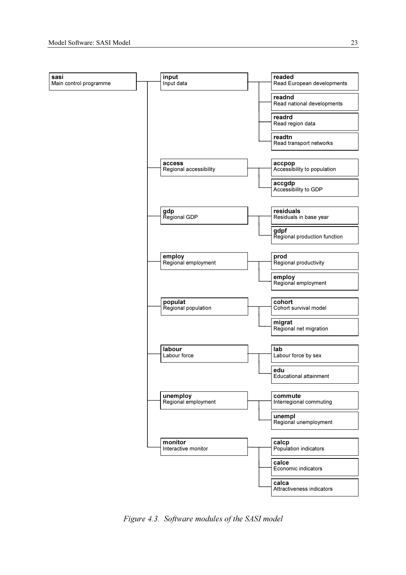

Figure 4.3. Software modules of the SASI model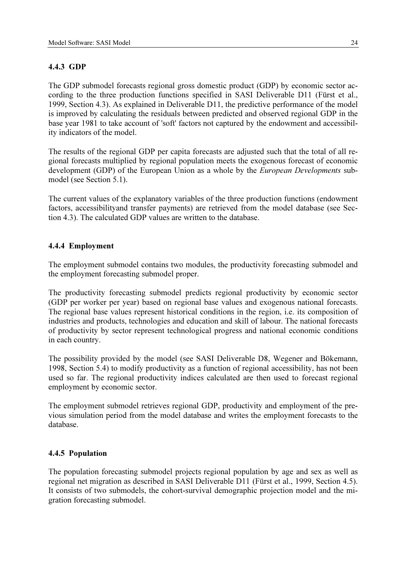# 4.4.3 GDP

The GDP submodel forecasts regional gross domestic product (GDP) by economic sector according to the three production functions specified in SASI Deliverable D11 (Fürst et al., 1999, Section 4.3). As explained in Deliverable D11, the predictive performance of the model is improved by calculating the residuals between predicted and observed regional GDP in the base year 1981 to take account of 'soft' factors not captured by the endowment and accessibility indicators of the model.

The results of the regional GDP per capita forecasts are adjusted such that the total of all regional forecasts multiplied by regional population meets the exogenous forecast of economic development (GDP) of the European Union as a whole by the *European Developments* submodel (see Section 5.1).

The current values of the explanatory variables of the three production functions (endowment factors, accessibilityand transfer payments) are retrieved from the model database (see Section 4.3). The calculated GDP values are written to the database.

# 4.4.4 Employment

The employment submodel contains two modules, the productivity forecasting submodel and the employment forecasting submodel proper.

The productivity forecasting submodel predicts regional productivity by economic sector (GDP per worker per year) based on regional base values and exogenous national forecasts. The regional base values represent historical conditions in the region, i.e. its composition of industries and products, technologies and education and skill of labour. The national forecasts of productivity by sector represent technological progress and national economic conditions in each country.

The possibility provided by the model (see SASI Deliverable D8, Wegener and Bökemann, 1998, Section 5.4) to modify productivity as a function of regional accessibility, has not been used so far. The regional productivity indices calculated are then used to forecast regional employment by economic sector.

The employment submodel retrieves regional GDP, productivity and employment of the previous simulation period from the model database and writes the employment forecasts to the database.

# 4.4.5 Population

The population forecasting submodel projects regional population by age and sex as well as regional net migration as described in SASI Deliverable D11 (Fürst et al., 1999, Section 4.5). It consists of two submodels, the cohort-survival demographic projection model and the migration forecasting submodel.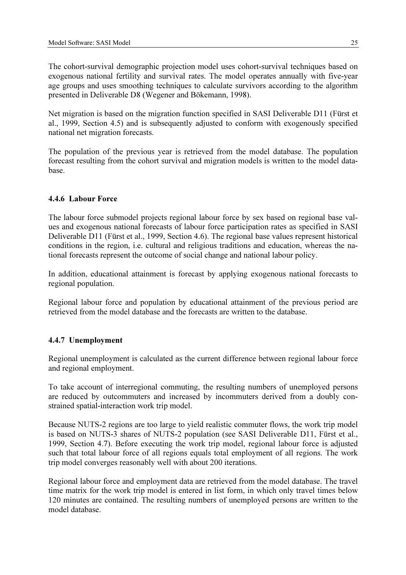The cohort-survival demographic projection model uses cohort-survival techniques based on exogenous national fertility and survival rates. The model operates annually with five-year age groups and uses smoothing techniques to calculate survivors according to the algorithm presented in Deliverable D8 (Wegener and Bökemann, 1998).

Net migration is based on the migration function specified in SASI Deliverable D11 (Fürst et al., 1999, Section 4.5) and is subsequently adjusted to conform with exogenously specified national net migration forecasts.

The population of the previous year is retrieved from the model database. The population forecast resulting from the cohort survival and migration models is written to the model database.

# 4.4.6 Labour Force

The labour force submodel projects regional labour force by sex based on regional base values and exogenous national forecasts of labour force participation rates as specified in SASI Deliverable D11 (Fürst et al., 1999, Section 4.6). The regional base values represent historical conditions in the region, i.e. cultural and religious traditions and education, whereas the national forecasts represent the outcome of social change and national labour policy.

In addition, educational attainment is forecast by applying exogenous national forecasts to regional population.

Regional labour force and population by educational attainment of the previous period are retrieved from the model database and the forecasts are written to the database.

# 4.4.7 Unemployment

Regional unemployment is calculated as the current difference between regional labour force and regional employment.

To take account of interregional commuting, the resulting numbers of unemployed persons are reduced by outcommuters and increased by incommuters derived from a doubly constrained spatial-interaction work trip model.

Because NUTS-2 regions are too large to yield realistic commuter flows, the work trip model is based on NUTS-3 shares of NUTS-2 population (see SASI Deliverable D11, Fürst et al., 1999, Section 4.7). Before executing the work trip model, regional labour force is adjusted such that total labour force of all regions equals total employment of all regions. The work trip model converges reasonably well with about 200 iterations.

Regional labour force and employment data are retrieved from the model database. The travel time matrix for the work trip model is entered in list form, in which only travel times below 120 minutes are contained. The resulting numbers of unemployed persons are written to the model database.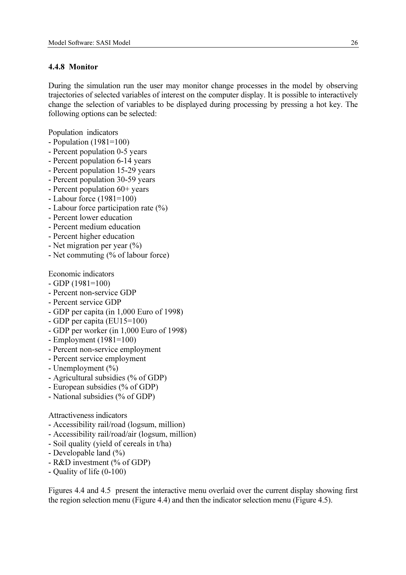#### 4.4.8 Monitor

During the simulation run the user may monitor change processes in the model by observing trajectories of selected variables of interest on the computer display. It is possible to interactively change the selection of variables to be displayed during processing by pressing a hot key. The following options can be selected:

Population indicators

- Population (1981=100)
- Percent population 0-5 years
- Percent population 6-14 years
- Percent population 15-29 years
- Percent population 30-59 years
- Percent population 60+ years
- Labour force (1981=100)
- Labour force participation rate (%)
- Percent lower education
- Percent medium education
- Percent higher education
- Net migration per year (%)
- Net commuting (% of labour force)

Economic indicators

- $-$  GDP (1981=100)
- Percent non-service GDP
- Percent service GDP
- GDP per capita (in 1,000 Euro of 1998)
- GDP per capita (EU15=100)
- GDP per worker (in 1,000 Euro of 1998)
- Employment (1981=100)
- Percent non-service employment
- Percent service employment
- Unemployment (%)
- Agricultural subsidies (% of GDP)
- European subsidies (% of GDP)
- National subsidies (% of GDP)

## Attractiveness indicators

- Accessibility rail/road (logsum, million)
- Accessibility rail/road/air (logsum, million)
- Soil quality (yield of cereals in t/ha)
- Developable land (%)
- R&D investment (% of GDP)
- Quality of life (0-100)

Figures 4.4 and 4.5 present the interactive menu overlaid over the current display showing first the region selection menu (Figure 4.4) and then the indicator selection menu (Figure 4.5).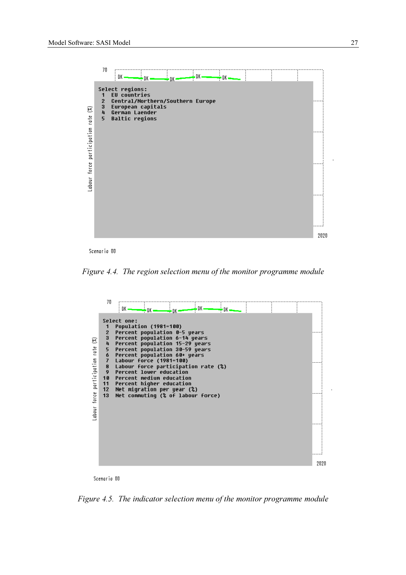

Scenario 00

Figure 4.4. The region selection menu of the monitor programme module





Figure 4.5. The indicator selection menu of the monitor programme module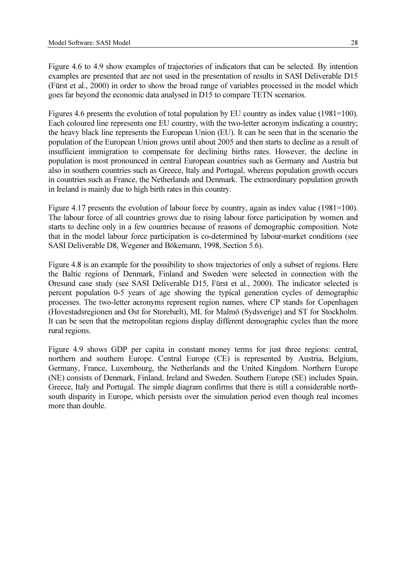Figure 4.6 to 4.9 show examples of trajectories of indicators that can be selected. By intention examples are presented that are not used in the presentation of results in SASI Deliverable D15 (Fürst et al., 2000) in order to show the broad range of variables processed in the model which goes far beyond the economic data analysed in D15 to compare TETN scenarios.

Figures 4.6 presents the evolution of total population by EU country as index value (1981=100). Each coloured line represents one EU country, with the two-letter acronym indicating a country; the heavy black line represents the European Union (EU). It can be seen that in the scenario the population of the European Union grows until about 2005 and then starts to decline as a result of insufficient immigration to compensate for declining births rates. However, the decline in population is most pronounced in central European countries such as Germany and Austria but also in southern countries such as Greece, Italy and Portugal, whereas population growth occurs in countries such as France, the Netherlands and Denmark. The extraordinary population growth in Ireland is mainly due to high birth rates in this country.

Figure 4.17 presents the evolution of labour force by country, again as index value (1981=100). The labour force of all countries grows due to rising labour force participation by women and starts to decline only in a few countries because of reasons of demographic composition. Note that in the model labour force participation is co-determined by labour-market conditions (see SASI Deliverable D8, Wegener and Bökemann, 1998, Section 5.6).

Figure 4.8 is an example for the possibility to show trajectories of only a subset of regions. Here the Baltic regions of Denmark, Finland and Sweden were selected in connection with the Øresund case study (see SASI Deliverable D15, Fürst et al., 2000). The indicator selected is percent population 0-5 years of age showing the typical generation cycles of demographic processes. The two-letter acronyms represent region names, where CP stands for Copenhagen (Hovestadsregionen and Øst for Storebælt), ML for Malmö (Sydsverige) and ST for Stockholm. It can be seen that the metropolitan regions display different demographic cycles than the more rural regions.

Figure 4.9 shows GDP per capita in constant money terms for just three regions: central, northern and southern Europe. Central Europe (CE) is represented by Austria, Belgium, Germany, France, Luxembourg, the Netherlands and the United Kingdom. Northern Europe (NE) consists of Denmark, Finland, Ireland and Sweden. Southern Europe (SE) includes Spain, Greece, Italy and Portugal. The simple diagram confirms that there is still a considerable northsouth disparity in Europe, which persists over the simulation period even though real incomes more than double.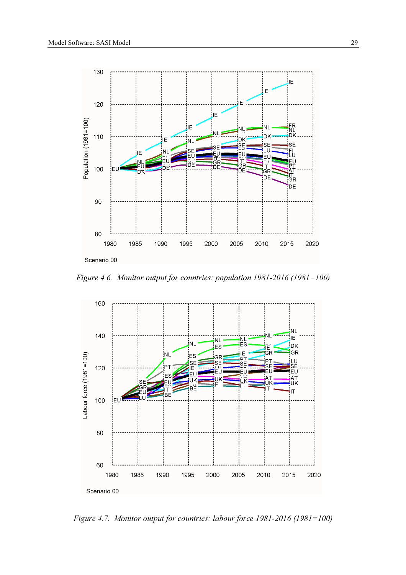

Figure 4.6. Monitor output for countries: population 1981-2016 (1981=100)



Figure 4.7. Monitor output for countries: labour force 1981-2016 (1981=100)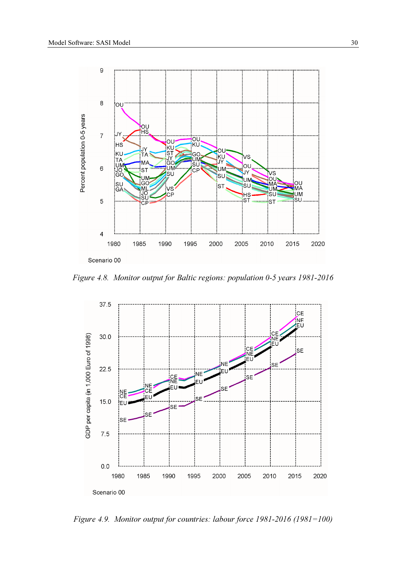

Figure 4.8. Monitor output for Baltic regions: population 0-5 years 1981-2016



Figure 4.9. Monitor output for countries: labour force 1981-2016 (1981=100)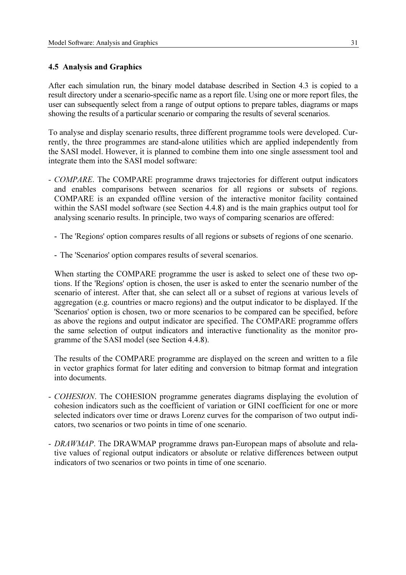## 4.5 Analysis and Graphics

After each simulation run, the binary model database described in Section 4.3 is copied to a result directory under a scenario-specific name as a report file. Using one or more report files, the user can subsequently select from a range of output options to prepare tables, diagrams or maps showing the results of a particular scenario or comparing the results of several scenarios.

To analyse and display scenario results, three different programme tools were developed. Currently, the three programmes are stand-alone utilities which are applied independently from the SASI model. However, it is planned to combine them into one single assessment tool and integrate them into the SASI model software:

- COMPARE. The COMPARE programme draws trajectories for different output indicators and enables comparisons between scenarios for all regions or subsets of regions. COMPARE is an expanded offline version of the interactive monitor facility contained within the SASI model software (see Section 4.4.8) and is the main graphics output tool for analysing scenario results. In principle, two ways of comparing scenarios are offered:
	- The 'Regions' option compares results of all regions or subsets of regions of one scenario.
	- The 'Scenarios' option compares results of several scenarios.

When starting the COMPARE programme the user is asked to select one of these two options. If the 'Regions' option is chosen, the user is asked to enter the scenario number of the scenario of interest. After that, she can select all or a subset of regions at various levels of aggregation (e.g. countries or macro regions) and the output indicator to be displayed. If the 'Scenarios' option is chosen, two or more scenarios to be compared can be specified, before as above the regions and output indicator are specified. The COMPARE programme offers the same selection of output indicators and interactive functionality as the monitor programme of the SASI model (see Section 4.4.8).

The results of the COMPARE programme are displayed on the screen and written to a file in vector graphics format for later editing and conversion to bitmap format and integration into documents.

- COHESION. The COHESION programme generates diagrams displaying the evolution of cohesion indicators such as the coefficient of variation or GINI coefficient for one or more selected indicators over time or draws Lorenz curves for the comparison of two output indicators, two scenarios or two points in time of one scenario.
- DRAWMAP. The DRAWMAP programme draws pan-European maps of absolute and relative values of regional output indicators or absolute or relative differences between output indicators of two scenarios or two points in time of one scenario.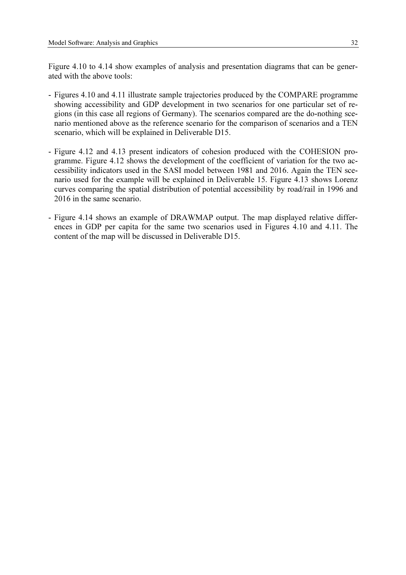Figure 4.10 to 4.14 show examples of analysis and presentation diagrams that can be generated with the above tools:

- Figures 4.10 and 4.11 illustrate sample trajectories produced by the COMPARE programme showing accessibility and GDP development in two scenarios for one particular set of regions (in this case all regions of Germany). The scenarios compared are the do-nothing scenario mentioned above as the reference scenario for the comparison of scenarios and a TEN scenario, which will be explained in Deliverable D15.
- Figure 4.12 and 4.13 present indicators of cohesion produced with the COHESION programme. Figure 4.12 shows the development of the coefficient of variation for the two accessibility indicators used in the SASI model between 1981 and 2016. Again the TEN scenario used for the example will be explained in Deliverable 15. Figure 4.13 shows Lorenz curves comparing the spatial distribution of potential accessibility by road/rail in 1996 and 2016 in the same scenario.
- Figure 4.14 shows an example of DRAWMAP output. The map displayed relative differences in GDP per capita for the same two scenarios used in Figures 4.10 and 4.11. The content of the map will be discussed in Deliverable D15.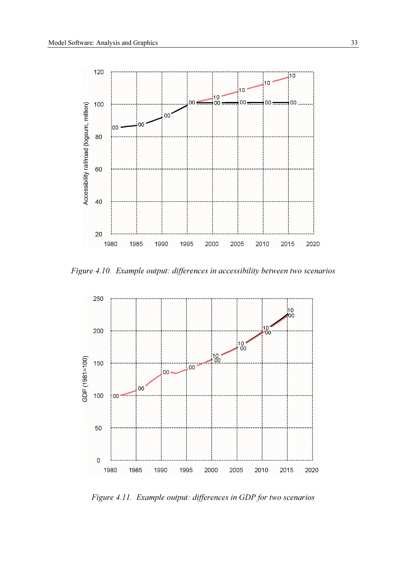

Figure 4.10. Example output: differences in accessibility between two scenarios



Figure 4.11. Example output: differences in GDP for two scenarios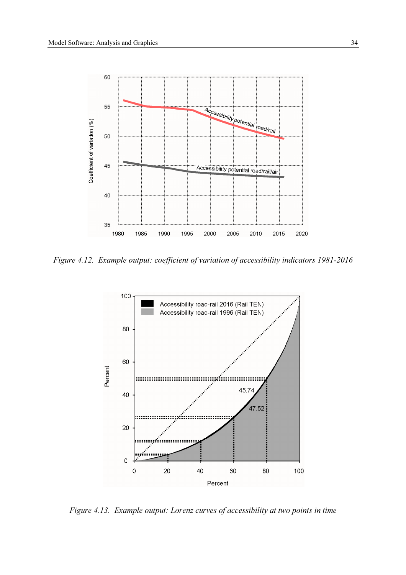

Figure 4.12. Example output: coefficient of variation of accessibility indicators 1981-2016



Figure 4.13. Example output: Lorenz curves of accessibility at two points in time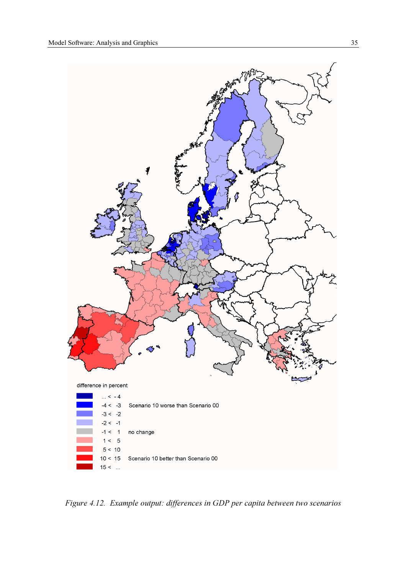

Figure 4.12. Example output: differences in GDP per capita between two scenarios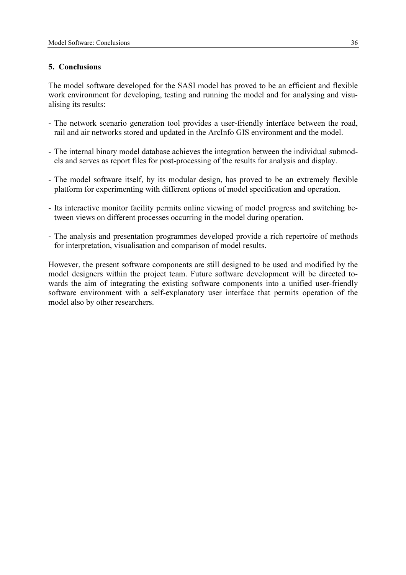## 5. Conclusions

The model software developed for the SASI model has proved to be an efficient and flexible work environment for developing, testing and running the model and for analysing and visualising its results:

- The network scenario generation tool provides a user-friendly interface between the road, rail and air networks stored and updated in the ArcInfo GIS environment and the model.
- The internal binary model database achieves the integration between the individual submodels and serves as report files for post-processing of the results for analysis and display.
- The model software itself, by its modular design, has proved to be an extremely flexible platform for experimenting with different options of model specification and operation.
- Its interactive monitor facility permits online viewing of model progress and switching between views on different processes occurring in the model during operation.
- The analysis and presentation programmes developed provide a rich repertoire of methods for interpretation, visualisation and comparison of model results.

However, the present software components are still designed to be used and modified by the model designers within the project team. Future software development will be directed towards the aim of integrating the existing software components into a unified user-friendly software environment with a self-explanatory user interface that permits operation of the model also by other researchers.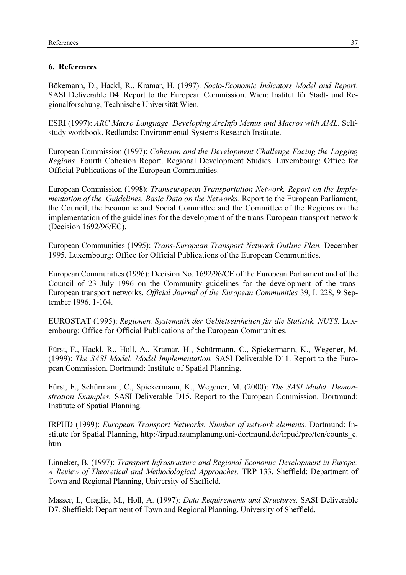# 6. References

Bökemann, D., Hackl, R., Kramar, H. (1997): Socio-Economic Indicators Model and Report. SASI Deliverable D4. Report to the European Commission. Wien: Institut für Stadt- und Regionalforschung, Technische Universität Wien.

ESRI (1997): ARC Macro Language. Developing ArcInfo Menus and Macros with AML. Selfstudy workbook. Redlands: Environmental Systems Research Institute.

European Commission (1997): Cohesion and the Development Challenge Facing the Lagging Regions. Fourth Cohesion Report. Regional Development Studies. Luxembourg: Office for Official Publications of the European Communities.

European Commission (1998): Transeuropean Transportation Network. Report on the Implementation of the Guidelines. Basic Data on the Networks. Report to the European Parliament, the Council, the Economic and Social Committee and the Committee of the Regions on the implementation of the guidelines for the development of the trans-European transport network (Decision 1692/96/EC).

European Communities (1995): Trans-European Transport Network Outline Plan. December 1995. Luxembourg: Office for Official Publications of the European Communities.

European Communities (1996): Decision No. 1692/96/CE of the European Parliament and of the Council of 23 July 1996 on the Community guidelines for the development of the trans-European transport networks. Official Journal of the European Communities 39, L 228, 9 September 1996, 1-104.

EUROSTAT (1995): Regionen. Systematik der Gebietseinheiten für die Statistik. NUTS. Luxembourg: Office for Official Publications of the European Communities.

Fürst, F., Hackl, R., Holl, A., Kramar, H., Schürmann, C., Spiekermann, K., Wegener, M. (1999): The SASI Model. Model Implementation. SASI Deliverable D11. Report to the European Commission. Dortmund: Institute of Spatial Planning.

Fürst, F., Schürmann, C., Spiekermann, K., Wegener, M. (2000): The SASI Model. Demonstration Examples. SASI Deliverable D15. Report to the European Commission. Dortmund: Institute of Spatial Planning.

IRPUD (1999): European Transport Networks. Number of network elements. Dortmund: Institute for Spatial Planning, http://irpud.raumplanung.uni-dortmund.de/irpud/pro/ten/counts e. htm

Linneker, B. (1997): Transport Infrastructure and Regional Economic Development in Europe: A Review of Theoretical and Methodological Approaches. TRP 133. Sheffield: Department of Town and Regional Planning, University of Sheffield.

Masser, I., Craglia, M., Holl, A. (1997): Data Requirements and Structures. SASI Deliverable D7. Sheffield: Department of Town and Regional Planning, University of Sheffield.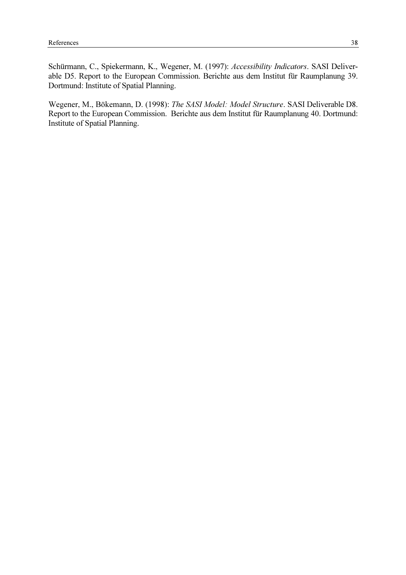Schürmann, C., Spiekermann, K., Wegener, M. (1997): Accessibility Indicators. SASI Deliverable D5. Report to the European Commission. Berichte aus dem Institut für Raumplanung 39. Dortmund: Institute of Spatial Planning.

Wegener, M., Bökemann, D. (1998): The SASI Model: Model Structure. SASI Deliverable D8. Report to the European Commission. Berichte aus dem Institut für Raumplanung 40. Dortmund: Institute of Spatial Planning.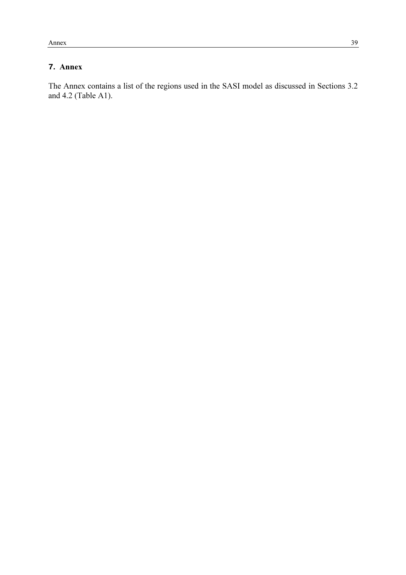# **7**. Annex

The Annex contains a list of the regions used in the SASI model as discussed in Sections 3.2 and 4.2 (Table A1).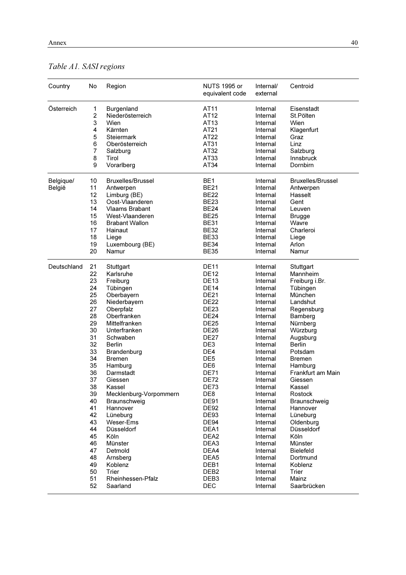# Table A1. SASI regions

| Country     | No          | Region                   | <b>NUTS 1995 or</b><br>equivalent code | Internal/<br>external | Centroid                 |
|-------------|-------------|--------------------------|----------------------------------------|-----------------------|--------------------------|
| Österreich  | 1           | Burgenland               | AT11                                   | Internal              | Eisenstadt               |
|             | $\mathbf 2$ | Niederösterreich         | AT12                                   | Internal              | St.Pölten                |
|             | 3           | Wien                     | AT13                                   | Internal              | Wien                     |
|             | 4           | Kärnten                  | AT21                                   | Internal              | Klagenfurt               |
|             | 5           | Steiermark               | AT22                                   | Internal              | Graz                     |
|             | 6           | Oberösterreich           | AT31                                   | Internal              | Linz                     |
|             | 7           | Salzburg                 | AT32                                   | Internal              | Salzburg                 |
|             | 8           | Tirol                    | AT33                                   | Internal              | Innsbruck                |
|             | 9           | Vorarlberg               | AT34                                   | Internal              | Dornbirn                 |
| Belgique/   | 10          | <b>Bruxelles/Brussel</b> | BE <sub>1</sub>                        | Internal              | <b>Bruxelles/Brussel</b> |
| België      | 11          | Antwerpen                | <b>BE21</b>                            | Internal              | Antwerpen                |
|             | 12          | Limburg (BE)             | <b>BE22</b>                            | Internal              | Hasselt                  |
|             | 13          | Oost-Vlaanderen          | <b>BE23</b>                            | Internal              | Gent                     |
|             | 14          | <b>Vlaams Brabant</b>    | <b>BE24</b>                            | Internal              | Leuven                   |
|             | 15          | West-Vlaanderen          | <b>BE25</b>                            | Internal              | <b>Brugge</b>            |
|             | 16          | <b>Brabant Wallon</b>    | <b>BE31</b>                            | Internal              | Wavre                    |
|             | 17          | Hainaut                  | <b>BE32</b>                            | Internal              | Charleroi                |
|             | 18          | Liege                    | <b>BE33</b>                            | Internal              | Liege                    |
|             | 19          | Luxembourg (BE)          | <b>BE34</b>                            | Internal              | Arlon                    |
|             | 20          | Namur                    | <b>BE35</b>                            | Internal              | Namur                    |
| Deutschland | 21          | Stuttgart                | <b>DE11</b>                            | Internal              | Stuttgart                |
|             | 22          | Karlsruhe                | <b>DE12</b>                            | Internal              | Mannheim                 |
|             | 23          | Freiburg                 | <b>DE13</b>                            | Internal              | Freiburg i.Br.           |
|             | 24          | Tübingen                 | <b>DE14</b>                            | Internal              | Tübingen                 |
|             | 25          | Oberbayern               | <b>DE21</b>                            | Internal              | München                  |
|             | 26          | Niederbayern             | <b>DE22</b>                            | Internal              | Landshut                 |
|             | 27          | Oberpfalz                | <b>DE23</b>                            | Internal              | Regensburg               |
|             | 28          | Oberfranken              | <b>DE24</b>                            | Internal              | Bamberg                  |
|             | 29          | Mittelfranken            | <b>DE25</b>                            | Internal              | Nürnberg                 |
|             | 30          | Unterfranken             | <b>DE26</b>                            | Internal              | Würzburg                 |
|             | 31          | Schwaben                 | <b>DE27</b>                            | Internal              | Augsburg                 |
|             | 32          | <b>Berlin</b>            | DE <sub>3</sub>                        | Internal              | <b>Berlin</b>            |
|             | 33          | Brandenburg              | DE4                                    | Internal              | Potsdam                  |
|             | 34          | <b>Bremen</b>            | DE <sub>5</sub>                        | Internal              | Bremen                   |
|             | 35          | Hamburg                  | DE <sub>6</sub>                        | Internal              | Hamburg                  |
|             | 36          | Darmstadt                | <b>DE71</b>                            | Internal              | Frankfurt am Main        |
|             | 37          | Giessen                  | <b>DE72</b>                            | Internal              | Giessen                  |
|             | 38          | Kassel                   | <b>DE73</b>                            | Internal              | Kassel                   |
|             | 39          | Mecklenburg-Vorpommern   | DE8                                    | Internal              | Rostock                  |
|             | 40          | Braunschweig             | <b>DE91</b>                            | Internal              | Braunschweig             |
|             | 41          | Hannover                 | <b>DE92</b>                            | Internal              | Hannover                 |
|             | 42          | Lüneburg                 | <b>DE93</b>                            | Internal              | Lüneburg                 |
|             | 43          | Weser-Ems                | DE94                                   | Internal              | Oldenburg                |
|             | 44          | Düsseldorf               | DEA1                                   | Internal              | <b>Düsseldorf</b>        |
|             | 45          | Köln                     | DEA <sub>2</sub>                       | Internal              | Köln                     |
|             | 46          | Münster                  | DEA3                                   | Internal              | Münster                  |
|             | 47          | Detmold                  | DEA4                                   | Internal              | <b>Bielefeld</b>         |
|             | 48          | Arnsberg                 | DEA5                                   | Internal              | Dortmund                 |
|             | 49          | Koblenz                  | DEB1                                   | Internal              | Koblenz                  |
|             | 50          | Trier                    | DEB <sub>2</sub>                       | Internal              | Trier                    |
|             | 51          | Rheinhessen-Pfalz        | DEB <sub>3</sub>                       | Internal              | Mainz                    |
|             | 52          | Saarland                 | DEC                                    | Internal              | Saarbrücken              |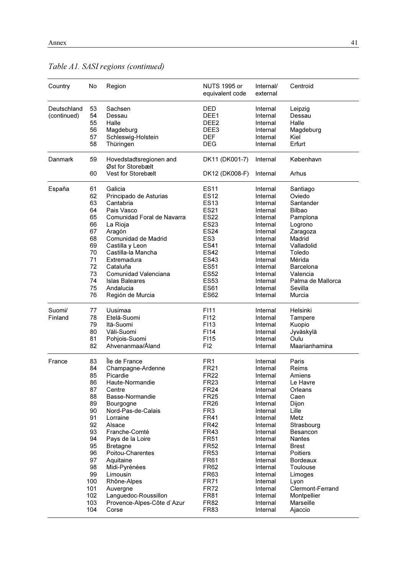| Country                    | No                                                                                                                                    | Region                                                                                                                                                                                                                                                                                                                                                                  | <b>NUTS 1995 or</b><br>equivalent code                                                                                                                                                                                                                                                                               | Internal/<br>external                                                                                                                                                                                                                                                | Centroid                                                                                                                                                                                                                                                                     |
|----------------------------|---------------------------------------------------------------------------------------------------------------------------------------|-------------------------------------------------------------------------------------------------------------------------------------------------------------------------------------------------------------------------------------------------------------------------------------------------------------------------------------------------------------------------|----------------------------------------------------------------------------------------------------------------------------------------------------------------------------------------------------------------------------------------------------------------------------------------------------------------------|----------------------------------------------------------------------------------------------------------------------------------------------------------------------------------------------------------------------------------------------------------------------|------------------------------------------------------------------------------------------------------------------------------------------------------------------------------------------------------------------------------------------------------------------------------|
| Deutschland<br>(continued) | 53<br>54<br>55<br>56<br>57<br>58                                                                                                      | Sachsen<br>Dessau<br>Halle<br>Magdeburg<br>Schleswig-Holstein<br>Thüringen                                                                                                                                                                                                                                                                                              | DED<br>DEE1<br>DEE <sub>2</sub><br>DEE <sub>3</sub><br><b>DEF</b><br><b>DEG</b>                                                                                                                                                                                                                                      | Internal<br>Internal<br>Internal<br>Internal<br>Internal<br>Internal                                                                                                                                                                                                 | Leipzig<br>Dessau<br>Halle<br>Magdeburg<br>Kiel<br>Erfurt                                                                                                                                                                                                                    |
| Danmark                    | 59                                                                                                                                    | Hovedstadtsregionen and<br>Øst for Storebælt                                                                                                                                                                                                                                                                                                                            | DK11 (DK001-7)                                                                                                                                                                                                                                                                                                       | Internal                                                                                                                                                                                                                                                             | København                                                                                                                                                                                                                                                                    |
|                            | 60                                                                                                                                    | Vest for Storebælt                                                                                                                                                                                                                                                                                                                                                      | DK12 (DK008-F)                                                                                                                                                                                                                                                                                                       | Internal                                                                                                                                                                                                                                                             | Arhus                                                                                                                                                                                                                                                                        |
| España                     | 61<br>62<br>63<br>64<br>65<br>66<br>67<br>68<br>69<br>70<br>71<br>72<br>73<br>74<br>75<br>76                                          | Galicia<br>Principado de Asturias<br>Cantabria<br>Pais Vasco<br>Comunidad Foral de Navarra<br>La Rioja<br>Aragón<br>Comunidad de Madrid<br>Castilla y Leon<br>Castilla-la Mancha<br>Extremadura<br>Cataluña<br>Comunidad Valenciana<br><b>Islas Baleares</b><br>Andalucia<br>Región de Murcia                                                                           | <b>ES11</b><br><b>ES12</b><br><b>ES13</b><br><b>ES21</b><br><b>ES22</b><br><b>ES23</b><br><b>ES24</b><br>ES <sub>3</sub><br><b>ES41</b><br><b>ES42</b><br><b>ES43</b><br><b>ES51</b><br><b>ES52</b><br><b>ES53</b><br><b>ES61</b><br><b>ES62</b>                                                                     | Internal<br>Internal<br>Internal<br>Internal<br>Internal<br>Internal<br>Internal<br>Internal<br>Internal<br>Internal<br>Internal<br>Internal<br>Internal<br>Internal<br>Internal<br>Internal                                                                         | Santiago<br>Oviedo<br>Santander<br>Bilbao<br>Pamplona<br>Logrono<br>Zaragoza<br>Madrid<br>Valladolid<br>Toledo<br>Mérida<br>Barcelona<br>Valencia<br>Palma de Mallorca<br>Sevilla<br>Murcia                                                                                  |
| Suomi/<br>Finland          | 77<br>78<br>79<br>80<br>81<br>82                                                                                                      | Uusimaa<br>Etelä-Suomi<br>Itä-Suomi<br>Väli-Suomi<br>Pohjois-Suomi<br>Ahvenanmaa/Åland                                                                                                                                                                                                                                                                                  | F111<br>F112<br>F113<br>F114<br>F115<br>FI <sub>2</sub>                                                                                                                                                                                                                                                              | Internal<br>Internal<br>Internal<br>Internal<br>Internal<br>Internal                                                                                                                                                                                                 | Helsinki<br>Tampere<br>Kuopio<br>Jyväskylä<br>Oulu<br>Maarianhamina                                                                                                                                                                                                          |
| France                     | 83<br>84<br>85<br>86<br>87<br>88<br>89<br>90<br>91<br>92<br>93<br>94<br>95<br>96<br>97<br>98<br>99<br>100<br>101<br>102<br>103<br>104 | Île de France<br>Champagne-Ardenne<br>Picardie<br>Haute-Normandie<br>Centre<br>Basse-Normandie<br>Bourgogne<br>Nord-Pas-de-Calais<br>Lorraine<br>Alsace<br>Franche-Comté<br>Pays de la Loire<br><b>Bretagne</b><br>Poitou-Charentes<br>Aquitaine<br>Midi-Pyrénées<br>Limousin<br>Rhône-Alpes<br>Auvergne<br>Languedoc-Roussillon<br>Provence-Alpes-Côte d'Azur<br>Corse | FR1<br><b>FR21</b><br><b>FR22</b><br><b>FR23</b><br><b>FR24</b><br><b>FR25</b><br><b>FR26</b><br>FR <sub>3</sub><br><b>FR41</b><br><b>FR42</b><br><b>FR43</b><br><b>FR51</b><br><b>FR52</b><br><b>FR53</b><br><b>FR61</b><br><b>FR62</b><br>FR63<br><b>FR71</b><br><b>FR72</b><br><b>FR81</b><br><b>FR82</b><br>FR83 | Internal<br>Internal<br>Internal<br>Internal<br>Internal<br>Internal<br>Internal<br>Internal<br>Internal<br>Internal<br>Internal<br>Internal<br>Internal<br>Internal<br>Internal<br>Internal<br>Internal<br>Internal<br>Internal<br>Internal<br>Internal<br>Internal | Paris<br>Reims<br>Amiens<br>Le Havre<br>Orleans<br>Caen<br>Dijon<br>Lille<br>Metz<br>Strasbourg<br>Besancon<br><b>Nantes</b><br><b>Brest</b><br><b>Poitiers</b><br><b>Bordeaux</b><br>Toulouse<br>Limoges<br>Lyon<br>Clermont-Ferrand<br>Montpellier<br>Marseille<br>Ajaccio |

# Table A1. SASI regions (continued)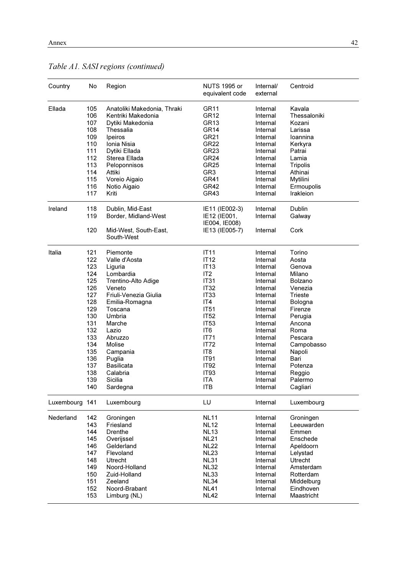| Country        | No         | Region                                            | <b>NUTS 1995 or</b><br>equivalent code | Internal/<br>external | Centroid               |
|----------------|------------|---------------------------------------------------|----------------------------------------|-----------------------|------------------------|
| Ellada         | 105<br>106 | Anatoliki Makedonia, Thraki<br>Kentriki Makedonia | GR <sub>11</sub><br>GR12               | Internal<br>Internal  | Kavala<br>Thessaloniki |
|                | 107        | Dytiki Makedonia                                  | GR13                                   | Internal              | Kozani                 |
|                | 108        | Thessalia                                         | GR <sub>14</sub>                       | Internal              | Larissa                |
|                | 109        | Ipeiros                                           | GR21                                   | Internal              | loannina               |
|                | 110        | Ionia Nisia                                       | <b>GR22</b>                            | Internal              | Kerkyra                |
|                | 111        | Dytiki Ellada                                     | GR <sub>23</sub>                       | Internal              | Patrai                 |
|                | 112        | Sterea Ellada                                     | <b>GR24</b>                            | Internal              | Lamia                  |
|                | 113        | Peloponnisos                                      | GR <sub>25</sub>                       | Internal              | Tripolis               |
|                | 114        | Attiki                                            | GR <sub>3</sub>                        | Internal              | Athinai                |
|                | 115        | Voreio Aigaio                                     | <b>GR41</b>                            | Internal              | Mytilini               |
|                | 116        | Notio Aigaio                                      | GR42                                   | Internal              | Ermoupolis             |
|                | 117        | Kriti                                             | GR43                                   | Internal              | Irakleion              |
| Ireland        | 118<br>119 | Dublin, Mid-East<br>Border, Midland-West          | IE11 (IE002-3)<br>IE12 (IE001,         | Internal<br>Internal  | Dublin                 |
|                |            |                                                   | IE004, IE008)                          |                       | Galway                 |
|                | 120        | Mid-West, South-East,<br>South-West               | IE13 (IE005-7)                         | Internal              | Cork                   |
| Italia         | 121        | Piemonte                                          | <b>IT11</b>                            | Internal              | Torino                 |
|                | 122        | Valle d'Aosta                                     | IT12                                   | Internal              | Aosta                  |
|                | 123        | Liguria                                           | <b>IT13</b>                            | Internal              | Genova                 |
|                | 124        | Lombardia                                         | IT <sub>2</sub>                        | Internal              | Milano                 |
|                | 125        | Trentino-Alto Adige                               | <b>IT31</b>                            | Internal              | Bolzano                |
|                | 126        | Veneto                                            | IT <sub>32</sub>                       | Internal              | Venezia                |
|                | 127        | Friuli-Venezia Giulia                             | IT <sub>33</sub>                       | Internal              | Trieste                |
|                | 128        | Emilia-Romagna                                    | IT4                                    | Internal              | Bologna                |
|                | 129        | Toscana                                           | <b>IT51</b>                            | Internal              | Firenze                |
|                | 130        | Umbria                                            | <b>IT52</b>                            | Internal              | Perugia                |
|                | 131        | Marche                                            | IT <sub>53</sub>                       | Internal              | Ancona                 |
|                | 132        | Lazio                                             | IT6                                    | Internal              | Roma                   |
|                | 133        | Abruzzo                                           | IT71                                   | Internal              | Pescara                |
|                | 134        | <b>Molise</b>                                     | <b>IT72</b>                            | Internal              | Campobasso             |
|                | 135        | Campania                                          | IT8                                    | Internal              | Napoli                 |
|                | 136        | Puglia                                            | <b>IT91</b>                            | Internal              | Bari                   |
|                | 137        | <b>Basilicata</b>                                 | <b>IT92</b>                            | Internal              | Potenza                |
|                | 138        | Calabria                                          | IT93                                   | Internal              | Reggio                 |
|                | 139<br>140 | Sicilia<br>Sardegna                               | ITA<br>ITB                             | Internal<br>Internal  | Palermo<br>Cagliari    |
| Luxembourg 141 |            | Luxembourg                                        | LU                                     | Internal              | Luxembourg             |
| Nederland      | 142        | Groningen                                         | <b>NL11</b>                            | Internal              | Groningen              |
|                | 143        | Friesland                                         | <b>NL12</b>                            | Internal              | Leeuwarden             |
|                | 144        | Drenthe                                           | <b>NL13</b>                            | Internal              | Emmen                  |
|                | 145        | Overijssel                                        | <b>NL21</b>                            | Internal              | Enschede               |
|                | 146        | Gelderland                                        | <b>NL22</b>                            | Internal              | Apeldoorn              |
|                | 147        | Flevoland                                         | <b>NL23</b>                            | Internal              | Lelystad               |
|                | 148        | <b>Utrecht</b>                                    | <b>NL31</b>                            | Internal              | Utrecht                |
|                | 149        | Noord-Holland                                     | <b>NL32</b>                            | Internal              | Amsterdam              |
|                | 150        | Zuid-Holland                                      | <b>NL33</b>                            | Internal              | Rotterdam              |
|                | 151        | Zeeland                                           | NL34                                   | Internal              | Middelburg             |
|                | 152        | Noord-Brabant                                     | <b>NL41</b>                            | Internal              | Eindhoven              |
|                | 153        | Limburg (NL)                                      | <b>NL42</b>                            | Internal              | Maastricht             |

Table A1. SASI regions (continued)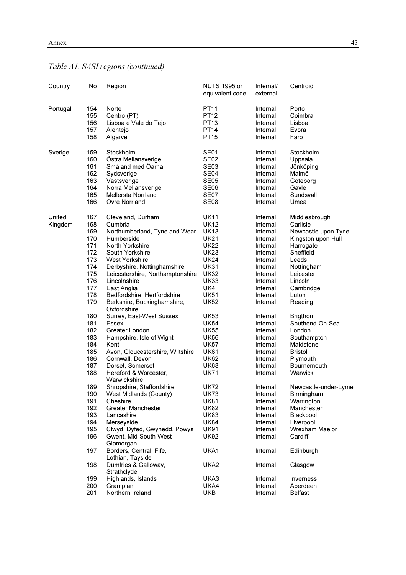| Country  | No         | Region                                      | NUTS 1995 or<br>equivalent code | Internal/<br>external | Centroid                                  |
|----------|------------|---------------------------------------------|---------------------------------|-----------------------|-------------------------------------------|
| Portugal | 154        | Norte                                       | <b>PT11</b>                     | Internal              | Porto                                     |
|          | 155        | Centro (PT)                                 | <b>PT12</b>                     | Internal              | Coimbra                                   |
|          | 156        | Lisboa e Vale do Tejo                       | PT13                            | Internal              | Lisboa                                    |
|          | 157        | Alentejo                                    | <b>PT14</b>                     | Internal              | Evora                                     |
|          | 158        | Algarve                                     | <b>PT15</b>                     | Internal              | Faro                                      |
| Sverige  | 159        | Stockholm                                   | <b>SE01</b>                     | Internal              | Stockholm                                 |
|          | 160        | Östra Mellansverige                         | <b>SE02</b>                     | Internal              | Uppsala                                   |
|          | 161        | Småland med Öarna                           | <b>SE03</b>                     | Internal              | Jönköping                                 |
|          | 162        | Sydsverige                                  | SE <sub>04</sub>                | Internal              | Malmö                                     |
|          | 163        | Västsverige                                 | <b>SE05</b>                     | Internal              | Göteborg                                  |
|          | 164        | Norra Mellansverige                         | <b>SE06</b>                     | Internal              | Gävle                                     |
|          | 165<br>166 | <b>Mellersta Norrland</b><br>Övre Norrland  | <b>SE07</b>                     | Internal              | Sundsvall                                 |
|          |            |                                             | SE <sub>08</sub>                | Internal              | Umea                                      |
| United   | 167        | Cleveland, Durham                           | <b>UK11</b>                     | Internal              | Middlesbrough                             |
| Kingdom  | 168        | Cumbria                                     | <b>UK12</b><br><b>UK13</b>      | Internal              | Carlisle                                  |
|          | 169<br>170 | Northumberland, Tyne and Wear<br>Humberside | <b>UK21</b>                     | Internal<br>Internal  | Newcastle upon Tyne<br>Kingston upon Hull |
|          | 171        | North Yorkshire                             | <b>UK22</b>                     | Internal              | Harrogate                                 |
|          | 172        | South Yorkshire                             | <b>UK23</b>                     | Internal              | Sheffield                                 |
|          | 173        | <b>West Yorkshire</b>                       | <b>UK24</b>                     | Internal              | Leeds                                     |
|          | 174        | Derbyshire, Nottinghamshire                 | <b>UK31</b>                     | Internal              | Nottingham                                |
|          | 175        | Leicestershire, Northamptonshire            | <b>UK32</b>                     | Internal              | Leicester                                 |
|          | 176        | Lincolnshire                                | <b>UK33</b>                     | Internal              | Lincoln                                   |
|          | 177        | East Anglia                                 | UK4                             | Internal              | Cambridge                                 |
|          | 178        | Bedfordshire, Hertfordshire                 | <b>UK51</b>                     | Internal              | Luton                                     |
|          | 179        | Berkshire, Buckinghamshire,<br>Oxfordshire  | <b>UK52</b>                     | Internal              | Reading                                   |
|          | 180        | Surrey, East-West Sussex                    | <b>UK53</b>                     | Internal              | <b>Brigthon</b>                           |
|          | 181        | Essex                                       | <b>UK54</b>                     | Internal              | Southend-On-Sea                           |
|          | 182        | Greater London                              | <b>UK55</b>                     | Internal              | London                                    |
|          | 183        | Hampshire, Isle of Wight                    | <b>UK56</b>                     | Internal              | Southampton                               |
|          | 184        | Kent                                        | <b>UK57</b>                     | Internal              | Maidstone                                 |
|          | 185        | Avon, Gloucestershire, Wiltshire            | <b>UK61</b>                     | Internal              | <b>Bristol</b>                            |
|          | 186        | Cornwall, Devon                             | <b>UK62</b>                     | Internal              | Plymouth                                  |
|          | 187        | Dorset, Somerset                            | <b>UK63</b>                     | Internal              | Bournemouth                               |
|          | 188        | Hereford & Worcester,<br>Warwickshire       | <b>UK71</b>                     | Internal              | Warwick                                   |
|          | 189        | Shropshire, Staffordshire                   | <b>UK72</b>                     | Internal              | Newcastle-under-Lyme                      |
|          | 190        | West Midlands (County)                      | <b>UK73</b>                     | Internal              | Birmingham                                |
|          | 191        | Cheshire                                    | <b>UK81</b>                     | Internal              | Warrington                                |
|          | 192        | <b>Greater Manchester</b>                   | <b>UK82</b>                     | Internal              | Manchester                                |
|          | 193        | Lancashire                                  | <b>UK83</b>                     | Internal              | Blackpool                                 |
|          | 194        | Merseyside                                  | <b>UK84</b>                     | Internal              | Liverpool                                 |
|          | 195        | Clwyd, Dyfed, Gwynedd, Powys                | <b>UK91</b>                     | Internal              | Wrexham Maelor                            |
|          | 196        | Gwent, Mid-South-West<br>Glamorgan          | <b>UK92</b>                     | Internal              | Cardiff                                   |
|          | 197        | Borders, Central, Fife,<br>Lothian, Tayside | UKA1                            | Internal              | Edinburgh                                 |
|          | 198        | Dumfries & Galloway,<br>Strathclyde         | UKA2                            | Internal              | Glasgow                                   |
|          | 199        | Highlands, Islands                          | UKA3                            | Internal              | Inverness                                 |
|          | 200        | Grampian                                    | UKA4                            | Internal              | Aberdeen                                  |
|          | 201        | Northern Ireland                            | UKB                             | Internal              | <b>Belfast</b>                            |

Table A1. SASI regions (continued)